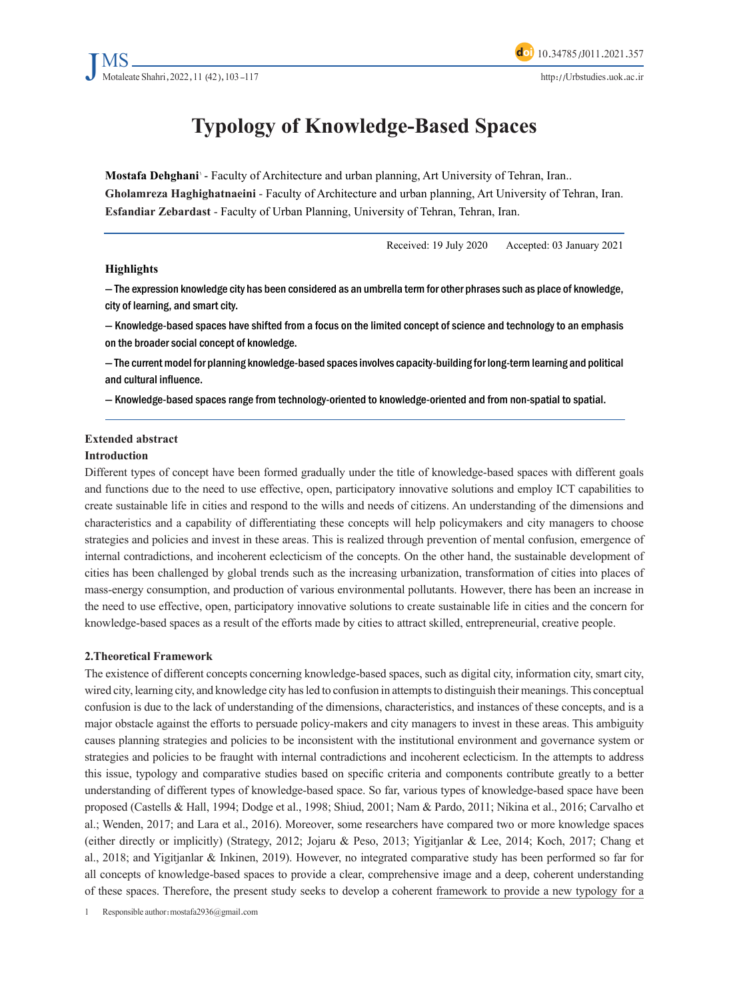# **Typology of Knowledge-Based Spaces**

**Mostafa Dehghani' -** Faculty of Architecture and urban planning, Art University of Tehran, Iran.. Gholamreza Haghighatnaeini - Faculty of Architecture and urban planning, Art University of Tehran, Iran. **Esfandiar Zebardast - Faculty of Urban Planning, University of Tehran, Tehran, Iran.** 

Received: 19 July 2020 Accepted: 03 January 2021

#### **Highlights**

- The expression knowledge city has been considered as an umbrella term for other phrases such as place of knowledge, city of learning, and smart city.

- Knowledge-based spaces have shifted from a focus on the limited concept of science and technology to an emphasis on the broader social concept of knowledge.

 $-$  The current model for planning knowledge-based spaces involves capacity-building for long-term learning and political and cultural influence.

- Knowledge-based spaces range from technology-oriented to knowledge-oriented and from non-spatial to spatial.

#### **Extended** abstract

#### **Introduction**

Different types of concept have been formed gradually under the title of knowledge-based spaces with different goals and functions due to the need to use effective, open, participatory innovative solutions and employ ICT capabilities to create sustainable life in cities and respond to the wills and needs of citizens. An understanding of the dimensions and characteristics and a capability of differentiating these concepts will help policymakers and city managers to choose strategies and policies and invest in these areas. This is realized through prevention of mental confusion, emergence of internal contradictions, and incoherent eclecticism of the concepts. On the other hand, the sustainable development of cities has been challenged by global trends such as the increasing urbanization, transformation of cities into places of mass-energy consumption, and production of various environmental pollutants. However, there has been an increase in the need to use effective, open, participatory innovative solutions to create sustainable life in cities and the concern for knowledge-based spaces as a result of the efforts made by cities to attract skilled, entrepreneurial, creative people.

#### **2. Theoretical Framework**

The existence of different concepts concerning knowledge-based spaces, such as digital city, information city, smart city, wired city, learning city, and knowledge city has led to confusion in attempts to distinguish their meanings. This conceptual confusion is due to the lack of understanding of the dimensions, characteristics, and instances of these concepts, and is a major obstacle against the efforts to persuade policy-makers and city managers to invest in these areas. This ambiguity causes planning strategies and policies to be inconsistent with the institutional environment and governance system or strategies and policies to be fraught with internal contradictions and incoherent eclecticism. In the attempts to address this issue, typology and comparative studies based on specific criteria and components contribute greatly to a better understanding of different types of knowledge-based space. So far, various types of knowledge-based space have been proposed (Castells & Hall, 1994; Dodge et al., 1998; Shiud, 2001; Nam & Pardo, 2011; Nikina et al., 2016; Carvalho et al.; Wenden, 2017; and Lara et al., 2016). Moreover, some researchers have compared two or more knowledge spaces (either directly or implicitly) (Strategy, 2012; Jojaru & Peso, 2013; Yigitjanlar & Lee, 2014; Koch, 2017; Chang et al., 2018; and Yigitjanlar & Inkinen, 2019). However, no integrated comparative study has been performed so far for all concepts of knowledge-based spaces to provide a clear, comprehensive image and a deep, coherent understanding of these spaces. Therefore, the present study seeks to develop a coherent framework to provide a new typology for a

1 Responsible author: mostafa 2936@gmail.com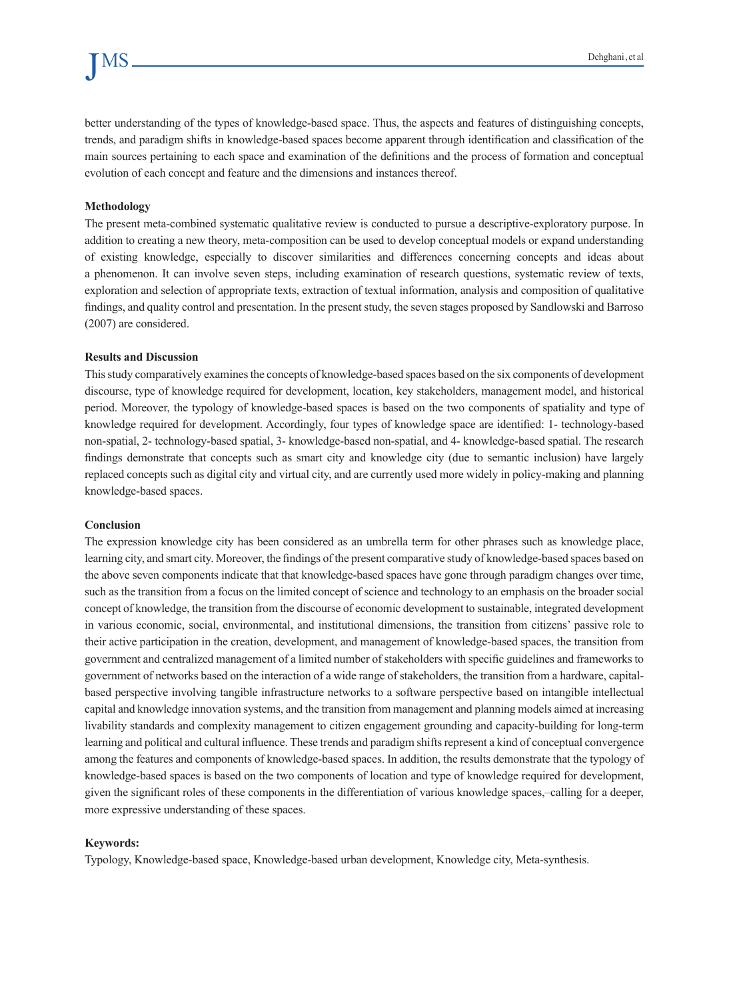better understanding of the types of knowledge-based space. Thus, the aspects and features of distinguishing concepts, trends, and paradigm shifts in knowledge-based spaces become apparent through identification and classification of the main sources pertaining to each space and examination of the definitions and the process of formation and conceptual evolution of each concept and feature and the dimensions and instances thereof.

#### **Methodology**

The present meta-combined systematic qualitative review is conducted to pursue a descriptive-exploratory purpose. In addition to creating a new theory, meta-composition can be used to develop conceptual models or expand understanding of existing knowledge, especially to discover similarities and differences concerning concepts and ideas about a phenomenon. It can involve seven steps, including examination of research questions, systematic review of texts, exploration and selection of appropriate texts, extraction of textual information, analysis and composition of qualitative findings, and quality control and presentation. In the present study, the seven stages proposed by Sandlowski and Barroso  $(2007)$  are considered.

#### **Results and Discussion**

This study comparatively examines the concepts of knowledge-based spaces based on the six components of development discourse, type of knowledge required for development, location, key stakeholders, management model, and historical period. Moreover, the typology of knowledge-based spaces is based on the two components of spatiality and type of knowledge required for development. Accordingly, four types of knowledge space are identified: 1- technology-based non-spatial, 2- technology-based spatial, 3- knowledge-based non-spatial, and 4- knowledge-based spatial. The research findings demonstrate that concepts such as smart city and knowledge city (due to semantic inclusion) have largely replaced concepts such as digital city and virtual city, and are currently used more widely in policy-making and planning knowledge-based spaces.

#### **Conclusion**

The expression knowledge city has been considered as an umbrella term for other phrases such as knowledge place, learning city, and smart city. Moreover, the findings of the present comparative study of knowledge-based spaces based on the above seven components indicate that that knowledge-based spaces have gone through paradigm changes over time, such as the transition from a focus on the limited concept of science and technology to an emphasis on the broader social concept of knowledge, the transition from the discourse of economic development to sustainable, integrated development in various economic, social, environmental, and institutional dimensions, the transition from citizens' passive role to their active participation in the creation, development, and management of knowledge-based spaces, the transition from government and centralized management of a limited number of stakeholders with specific guidelines and frameworks to based perspective involving tangible infrastructure networks to a software perspective based on intangible intellectual government of networks based on the interaction of a wide range of stakeholders, the transition from a hardware, capitalcapital and knowledge innovation systems, and the transition from management and planning models aimed at increasing livability standards and complexity management to citizen engagement grounding and capacity-building for long-term learning and political and cultural influence. These trends and paradigm shifts represent a kind of conceptual convergence among the features and components of knowledge-based spaces. In addition, the results demonstrate that the typology of knowledge-based spaces is based on the two components of location and type of knowledge required for development, given the significant roles of these components in the differentiation of various knowledge spaces,—calling for a deeper, more expressive understanding of these spaces.

#### **Keywords:**

Typology, Knowledge-based space, Knowledge-based urban development, Knowledge city, Meta-synthesis.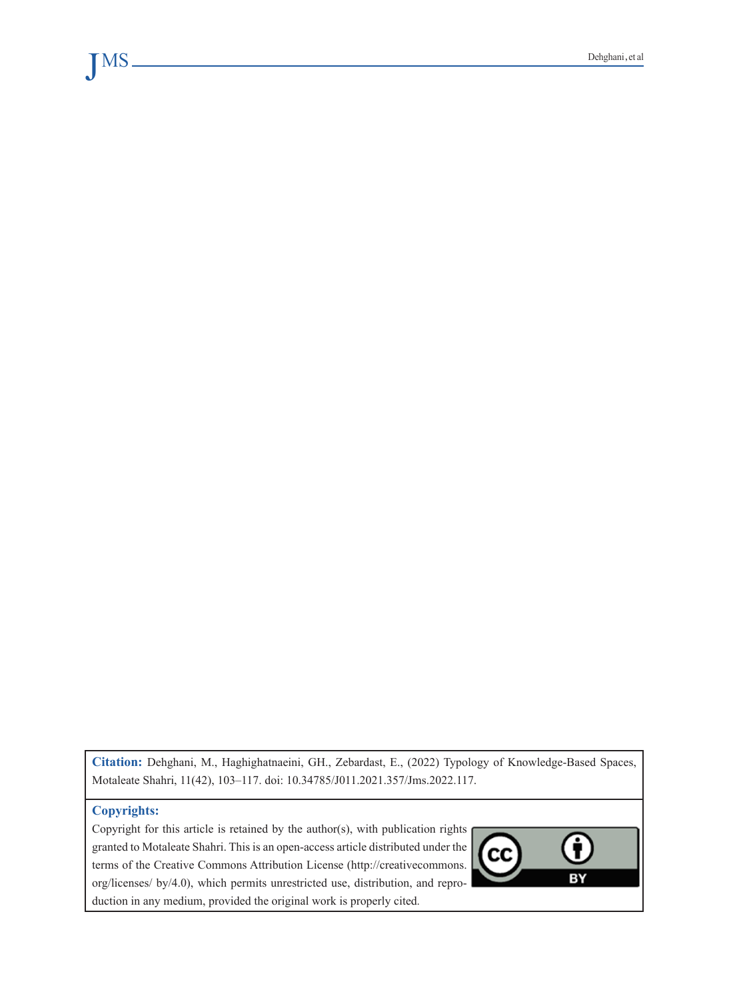Citation: Dehghani, M., Haghighatnaeini, GH., Zebardast, E., (2022) Typology of Knowledge-Based Spaces, Motaleate Shahri, 11(42), 103-117. doi: 10.34785/J011.2021.357/Jms.2022.117.

#### **Copyrights:**

VIS

Copyright for this article is retained by the author(s), with publication rights granted to Motaleate Shahri. This is an open-access article distributed under the terms of the Creative Commons Attribution License (http://creativecommons. org/licenses/ by/4.0), which permits unrestricted use, distribution, and reproduction in any medium, provided the original work is properly cited.

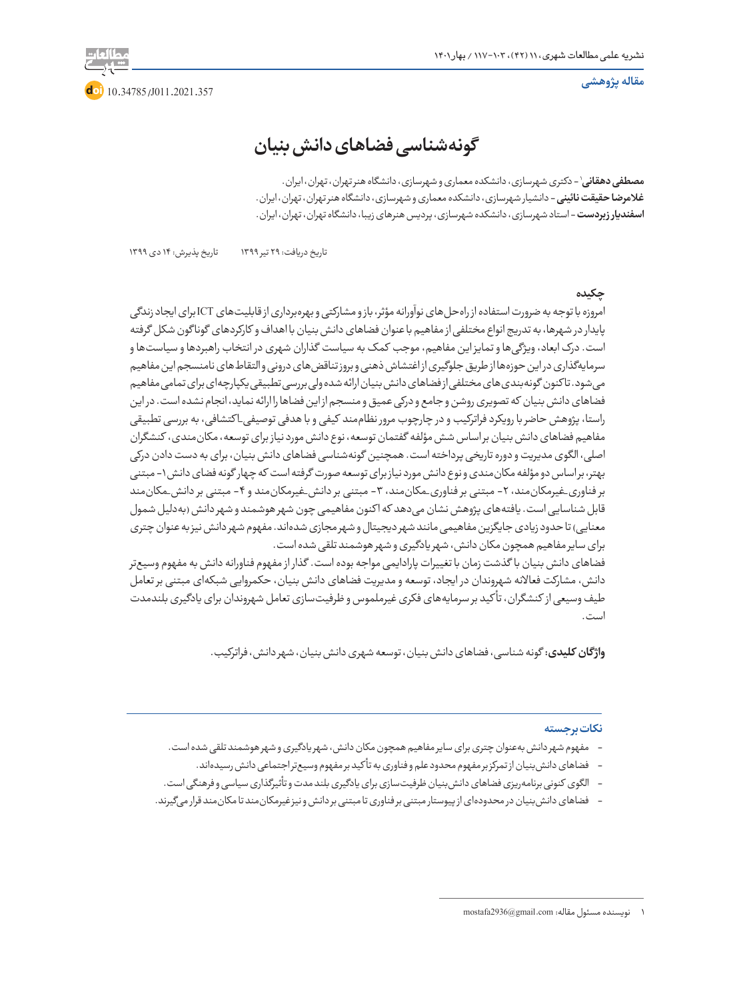**مقاله پژوهشی**



# **گونهشناسی فضاهای دانش بنیان**

1 - دکتری شهرسازی، دانشکده معماری و شهرسازی، دانشگاه هنر تهران، تهران، ایران. **مصطفی دهقانی غالمرضا حقیقت نائینی** - دانشیار شهرسازی، دانشکده معماری و شهرسازی، دانشگاه هنر تهران، تهران، ایران. **اسفندیار زبردست** - استاد شهرسازی، دانشکده شهرسازی، پردیس هنرهای زیبا، دانشگاه تهران، تهران، ایران.

تاریخ دریافت: 29 تیر 1399 تاریخ پذیرش: 14 دی 1399

#### **چکیده**

امروزه با توجه به ضرورت استفاده از راهحلهای نوآورانه مؤثر، باز و مشارکتی و بهرهبرداری از قابلیتهای ICT برای ایجاد زندگی پایدار در شهرها، به تدریج انواع مختلفی از مفاهیم با عنوان فضاهای دانش بنیان با اهداف و کارکردهای گونا گون شکل گرفته است. درک ابعاد، ویژگیها و تمایز این مفاهیم، موجب کمک به سیاست گذاران شهری در انتخاب راهبردها و سیاستها و سرمایهگذاری در این حوزهها از طریق جلوگیری از اغتشاش ذهنی و بروز تناقضهای درونی و التقاطهای نامنسجم این مفاهیم میشود. تا کنون گونهبندیهای مختلفی از فضاهای دانش بنیان ارائه شده ولی بررسی تطبیقی یکپارچهای برای تمامی مفاهیم فضاهای دانش بنیان که تصویری روشن و جامع و درکی عمیق و منسجم از این فضاها را ارائه نماید، انجام نشده است. در این راستا، پژوهش حاضر با رویکرد فراترکیب و در چارچوب مرور نظاممند کیفی و با هدفی توصیفی\_ا کتشافی، به بررسی تطبیقی مفاهیم فضاهای دانش بنیان بر اساس شش مؤلفه گفتمان توسعه، نوع دانش مورد نیاز برای توسعه، مکانمندی، کنشگران اصلی، الگوی مدیریت و دوره تاریخی پرداخته است. همچنین گونهشناسی فضاهای دانش بنیان، برای به دست دادن درکی بهتر، بر اساس دو مؤلفه مکانمندی و نوع دانش مورد نیاز برای توسعه صورت گرفته است که چهار گونه فضای دانش -1 مبتنی بر فناوری\_غیرمکانمند، ۲- مبتنی بر فناوری\_مکانمند، ۳- مبتنی بر دانش\_غیرمکانمند و ۴- مبتنی بر دانش\_مکانمند قابل شناسایی است. یافتههای پژوهش نشان می دهد که اکنون مفاهیمی چون شهر هوشمند و شهر دانش (بهدلیل شمول معنایی) تا حدود زیادی جایگزین مفاهیمی مانند شهر دیجیتال و شهر مجازی شدهاند. مفهوم شهر دانش نیز به عنوان چتری برای سایر مفاهیم همچون مکان دانش، شهر یادگیری و شهر هوشمند تلقی شده است.

فضاهای دانش بنیان با گذشت زمان با تغییرات پارادایمی مواجه بوده است. گذار از مفهوم فناورانه دانش به مفهوم وسیعتر دانش، مشارکت فعاالنه شهروندان در ایجاد، توسعه و مدیریت فضاهای دانش بنیان، حکمروایی شبکهای مبتنی بر تعامل طیف وسیعی از کنشگران، تأ کید بر سرمایههای فکری غیرملموس و ظرفیتسازی تعامل شهروندان برای یادگیری بلندمدت است.

**واژ گان کلیدی:** گونه شناسی، فضاهای دانش بنیان، توسعه شهری دانش بنیان، شهر دانش، فراترکیب.

#### **نکات برجسته**

- مفهوم شهر دانش بهعنوان چتری برای سایر مفاهیم همچون مکان دانش، شهر یادگیری و شهر هوشمند تلقی شده است.
	- فضاهای دانشبنیان از تمرکز بر مفهوم محدود علم و فناوری به تأ کید بر مفهوم وسیعتر اجتماعی دانش رسیدهاند.
- الگوی کنونی برنامهریزی فضاهای دانشبنیان ظرفیتسازی برای یادگیری بلند مدت و تأثیرگذاری سیاسی و فرهنگی است.
- فضاهای دانشبنیان در محدودهای از پیوستار مبتنی بر فناوری تا مبتنی بر دانش و نیز غیرمکانمند تا مکانمند قرار میگیرند.

<sup>1</sup> نویسنده مسئول مقاله:com.gmail@2936mostafa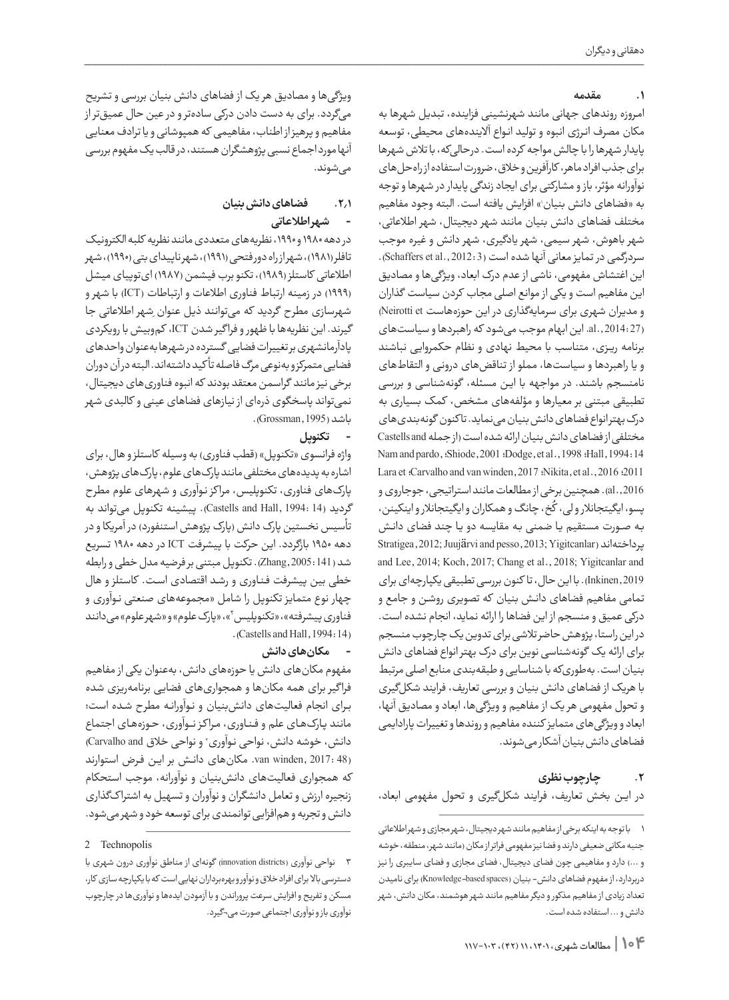#### **.1 مقدمه**

امـروزه روندهای جهانی مانند شهرنشینی فزاینده، تبدیل شهرها به مکان مصرف انـرژی انبوه و تولید انـواع آالیندههای محیطی، توسعه پایدار شهرها را با چالش مواجه کرده است. درحالیکه، با تالش شهرها برای جذب افراد ماهر، کارآفرین و خالق، ضرورت استفاده از راهحلهای نوآورانه مؤثر، باز و مشارکتی برای ایجاد زندگی پایدار در شهرها و توجه به «فضاهای دانش بنیان» افزایش یافته است. البته وجود مفاهیم مختلف فضاهای دانش بنیان مانند شهر دیجیتال، شهر اطالعاتی، شهر باهوش، شهر سیمی، شهر یادگیری، شهر دانش و غیره موجب سردرگمی در تمایز معانی آنها شده است (Schaffers et al., 2012: 3). این اغتشاش مفهومی، ناشی از عدم درک ابعاد، ویژگیها و مصادیق این مفاهیم است و یکی از موانع اصلی مجاب کردن سیاست گذاران و مدیران شهری برای سرمایهگذاری در این حوزههاست Neirotti et) (27 2014: .,al. این ابهام موجب میشود که راهبردها و سیاستهای برنامه ریـزی، متناسب با محیط نهادی و نظام حکمروایی نباشند و یا راهبردها و سیاستها، مملو از تناقضهای درونـی و التقاطهای نامنسجم باشند. در مواجهه با ایـن مسئله، گونهشناسی و بررسی تطبیقی مبتنی بر معیارها و مؤلفههای مشخص، کمک بسیاری به درک بهتر انواع فضاهای دانش بنیان مینماید. تا کنون گونهبندیهای مختلفی از فضاهای دانش بنیان ارائه شده است )از جمله and Castells Nam and pardo, :Shiode, 2001 :Dodge, et al., 1998 :Hall, 1994: 14 Lara et :Carvalho and van winden, 2017 :Nikita, et al., 2016 :2011 2016 .,al). همچنین برخی از مطالعات مانند استراتیجی، جوجاروی و پسو، ایگیتجانلار و لی، کُخ، چانگ و همکاران و ایگیتجانلار و اینکینن،  $\zeta$ بـه صــورت مستقیم یـا ضمنی بـه مقایسه دو یـا چند فضای دانـش پرداختهاند )Yigitcanlar; 2013 ,pesso and Juujärvi; 2012 ,Stratigea and Lee, 2014; Koch, 2017; Chang et al., 2018; Yigitcanlar and 2019 ,Inkinen).با این حال، تا کنون بررسی تطبیقی یکپارچهای برای تمامی مفاهیم فضاهای دانـش بنیان که تصویری روشـن و جامع و درکی عمیق و منسجم از این فضاها را ارائه نماید، انجام نشده است. در این راستا، پژوهش حاضر تالشی برای تدوین یک چارچوب منسجم برای ارائه یک گونهشناسی نوین برای درک بهتر انواع فضاهای دانش بنیان است. بهطوریکه با شناسایی و طبقهبندی منابع اصلی مرتبط با هریک از فضاهای دانش بنیان و بررسی تعاریف، فرایند شکلگیری و تحول مفهومی هر یک از مفاهیم و ویژگیها، ابعاد و مصادیق آنها، ابعاد و ویژگیهای متمایز کننده مفاهیم و روندها و تغییرات پارادایمی فضاهای دانش بنیان آشکار میشوند.

# **.2 چارچوب نظری** در ایـن بخش تعاریف، فرایند شکلگیری و تحول مفهومی ابعاد،

# **.2.1 فضاهای دانش بنیان**

#### **-شهر اطالعاتی**  $\sim$

در دهه 1980 و ،1990 نظریههای متعددی مانند نظریه کلبه الکترونیک تافلر (۱۹۸۱)، شهر از راه دور فتحی (۱۹۹۱)، شهر ناپیدای بتی (۱۹۹۰)، شهر اطالعاتی کاستلز )1989(، تکنو برب فیشمن )1987( ایتوپیای میشل )1999( در زمینه ارتباط فناوری اطالعات و ارتباطات )ICT )با شهر و شهرسازی مطرح گردید که میتوانند ذیل عنوان ِشهر اطالعاتی جا گیرند. این نظریهها با ظهور و فرا گیر شدن ICT، کموبیش با رویکردی پادآرمانشهری بر تغییرات فضایی گسترده در شهرها بهعنوان واحدهای فضایی متمرکز و بهنوعی مرگ فاصله تأ کید داشتهاند. البته در آن دوران برخی نیز مانند گراسمن معتقد بودند که انبوه فناوریهای دیجیتال، نمیتواند پاسخگوی ذرهای از نیازهای فضاهای عینی و کالبدی شهر باشد )1995 ,Grossman).

#### **-تکنوپل**

واژه فرانسوی «تکنوپل» (قطب فناوری) به وسیله کاستلز و هال، برای اشاره به پدیدههای مختلفی مانند پارکهای علوم، پارکهای پژوهش، پارکهای فناوری، تکنوپلیس، مرا کز نـوآوری و شهرهای علوم مطرح گردید (14 :Castells and Hall, 1994). پیشینه تکنوپل میتواند به تأسیس نخستین پارک دانش (پارک پژوهش استنفورد) در آمریکا و در دهه 1950 بازگردد. این حرکت با پیشرفت ICT در دهه 1980 تسریع شد (141 2005: ,Zhang(. تکنوپل مبتنی بر فرضیه مدل خطی و رابطه خطی بین پیشرفت فـنـاوری و رشـد اقتصادی اسـت. کاستلز و هال چهار نوع متمایز تکنوپل را شامل »مجموعههای صنعتی نـوآوری و فناوری پیشرفته»، «تکنوپلیس ّ»، «پارک علوم» و «شهرعلوم» میدانند  $(Castells and Hall, 1994:14)$ 

## **-مکانهای دانش**

مفهوم مکانهای دانش یا حوزههای دانش، بهعنوان یکی از مفاهیم فرا گیر برای همه مکانها و همجواریهای فضایی برنامهریزی شده بـرای انجام فعالیتهای دانشبنیان و نـوآورانـه مطرح شـده است؛ مانند پـارکهـای علم و فـنـاوری، مـرا کـز نـــوآوری، حـوزههـای اجتماع دانش، خوشه دانش، نواحی نواوری ّ و نواحی خلاق Carvalho and) (48 :2017, van winden, مکانهای دانـش بر ایـن فـرض استوارند که همجواری فعالیتهای دانشبنیان و نوآورانه، موجب استحکام زنجیره ارزش و تعامل دانشگران و نوآوران و تسهیل به اشترا کگذاری دانش و تجربه و همافزایی توانمندی برای توسعه خود و شهر میشود.

<sup>1</sup> با توجه به اینکه برخی از مفاهیم مانند شهر دیجیتال، شهر مجازی و شهر اطالعاتی جنبه مکانی ضعیفی دارند و فضا نیز مفهومی فراتر از مکان )مانند شهر، منطقه، خوشه و ...( دارد و مفاهیمی چون فضای دیجیتال، فضای مجازی و فضای سایبری را نیز دربردارد، از مفهوم فضاهای دانش- بنیان (Knowledge-based spaces) برای نامیدن تعداد زیادی از مفاهیم مذکور و دیگر مفاهیم مانند شهر هوشمند، مکان دانش، شهر دانش و ...استفاده شده است.

<sup>2</sup> Technopolis

<sup>3</sup> نواحی نوآوری )districts innovation )گونهای از مناطق نوآوری درون شهری با دسترسی باال برای افراد خالق و نوآور و بهرهبرداران نهایی است که با یکپارچه سازی کار، مسکن و تفریح و افزایش سرعت پروراندن و با آزمودن ایدهها و نوآوریها در چارچوب نوآوری باز و نوآوری اجتماعی صورت می¬گیرد.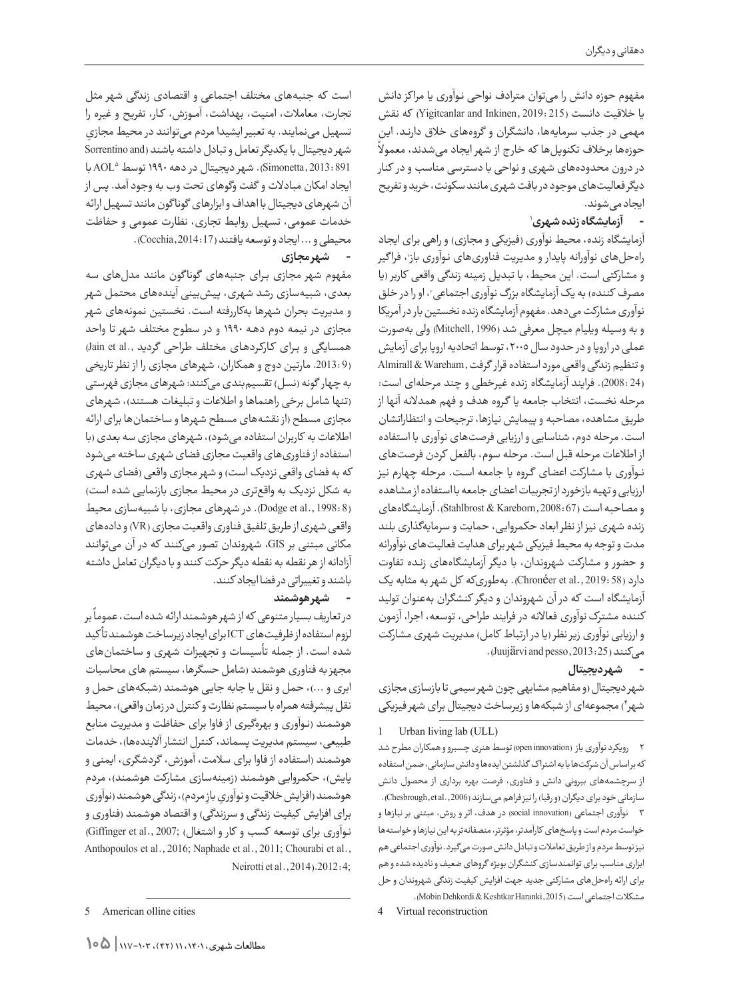مفهوم حوزه دانش را میتوان مترادف نواحی نـوآوری یا مرا کز دانش یا خلاقیت دانست (215 .219: Yigitcanlar and Inkinen, 2019) که نقش ً مهمی در جذب سرمایهها، دانشگران و گروههای خالق دارنـد. این حوزهها برخالف تکنوپلها که خار ج از شهر ایجاد میشدند، معموال در درون محدودههای شهری و نواحی با دسترسی مناسب و در کنار دیگر فعالیتهای موجود در بافت شهری مانند سکونت، خرید و تفریح ایجاد میشوند.

#### <sup>1</sup> **- آزمایشگاه زنده شهری**  $\sim$

آزمایشگاه زنده، محیط نوآوری (فیزیکی و مجازی) و راهی برای ایجاد راهحلهای نواورانه پایدار و مدیریت فناوریهای نواوری باز۲، فراگیر و مشارکتی است. این محیط، با تبدیل زمینه زندگی واقعی کاربر )یا مصرف کننده) به یک ازمایشگاه بزرگ نواوری اجتماعی ّ، او را در خلق نوآوری مشارکت میدهد. مفهوم آزمایشگاه زنده نخستین بار در آمریکا و به وسیله ویلیام میچل معرفی شد )1996 ,Mitchell )ولی بهصورت عملی در اروپا و در حدود سال ،2005 توسط اتحادیه اروپا برای آزمایش و تنظیم زندگی واقعی مورد استفاده قرار گرفت ,Wareham & Almirall (24 2008:(. فرایند آزمایشگاه زنده غیرخطی و چند مرحلهای است: مرحله نخست، انتخاب جامعه یا گـروه هدف و فهم همدالنه آنها از طریق مشاهده، مصاحبه و پیمایش نیازها، ترجیحات و انتظاراتشان است. مرحله دوم، شناسایی و ارزیابی فرصتهای نوآوری با استفاده از اطالعات مرحله قبل است. مرحله سوم، بالفعل کردن فرصتهای نــوآوری با مشارکت اعضای گـروه یا جامعه اسـت. مرحله چهارم نیز ارزیابی و تهیه بازخورد از تجربیات اعضای جامعه با استفاده از مشاهده و مصاحبه است )67 2008: ,Kareborn & Stahlbrost). آزمایشگاههای زنده شهری نیز از نظر ابعاد حکمروایی، حمایت و سرمایهگذاری بلند مدت و توجه به محیط فیزیکی شهر برای هدایت فعالیتهای نوآورانه و حضور و مشارکت شهروندان، با دیگر آزمایشگاههای زنـده تفاوت دارد (58 2019: .,al et Chronéer(. بهطوریکه کل شهر به مثابه یک آزمایشگاه است که در آن شهروندان و دیگر کنشگران بهعنوان تولید کننده مشترکنوآوری فعاالنه در فرایند طراحی، توسعه، اجرا، آزمون و ارزیابی نوآوری زیر نظر (یا در ارتباط کامل) مدیریت شهری مشارکت میکنند (2013: 2013, Juujärvi and pesso,

## **-شهر دیجیتال**

شهر دیجیتال )و مفاهیم مشابهی چون شهر سیمی تا بازسازی مجازی 4( مجموعهای از شبکهها و زیرساخت دیجیتال برای شهر فیزیکی شهر

Urban living lab (ULL)

2 رویکرد نوآوری باز )innovation open )توسط هنری چسبرو و همکاران مطرح شد که بر اساس آن شرکتها با به اشترا ک گذلشتن ایدهها و دانش سازمانی، ضمن استفاده از سرچشمههای بیرونی دانش و فناوری، فرصت بهره برداری از محصول دانش سازمانی خود برای دیگران (و رقبا) را نیز فراهم میسازند (Chesbrough,et al., 2006). 3 نوآوری اجتماعی )innovation social )در هدف، اثر و روش، مبتنی بر نیازها و خواست مردم است و پاسخهای کارآمدتر، مؤثرتر، منصفانهتر به این نیازها و خواستهها نیز توسط مردم و از طریق تعامالت و تبادل دانش صورت میگیرد. نوآوری اجتماعی هم ابزاری مناسب برای توانمندسازی کنشگران بویژه گروهای ضعیف و نادیده شده و هم برای ارائه راهحلهای مشارکتی جدید جهت افزایش کیفیت زندگی شهروندان و حل مشکلات اجتماعی است (2015, Mobin Dehkordi & Keshtkar Haranki).

Virtual reconstruction

است که جنبههای مختلف اجتماعی و اقتصادی زندگی شهر مثل تجارت، معامالت، امنیت، بهداشت، آمــوزش، کـار، تفریح و غیره را تسهیل مینمایند. به تعبیر ایشیدا مردم می ِ توانند در محیط مجازی شهر دیجیتال با یکدیگر تعامل و تبادل داشته باشند (Sorrentino and <sup>5</sup>AOL با 891 2013: ,Simonetta). شهر دیجیتال در دهه 1990 توسط ایجاد امکان مبادالت و گفت وگوهای تحت وب به وجود آمد. پس از آن شهرهای دیجیتال با اهداف و ابزارهای گونا گون مانند تسهیل ارائه خدمات عمومی، تسهیل روابـط تجاری، نظارت عمومی و حفاظت محیطی و ... ایجاد و توسعه یافتند (17 2014: ,Cocchia(.

#### **-شهر مجازی**

مفهوم شهر مجازی بـرای جنبههای گوناگون مانند مدلهای سه بعدی، شبیهسازی رشد شهری، پیشبینی آیندههای محتمل شهر و مدیریت بحران شهرها بهکاررفته است. نخستین نمونههای شهر مجازی در نیمه دوم دهـه 1990 و در سطوح مختلف شهر تا واحد همسایگی و برای کارکردهای مختلف طراحی گردید ,.Jain et al (9 .2013: مارتین دوج و همکاران، شهرهای مجازی را از نظر تاریخی به چهار گونه (نسل) تقسیمبندی میکنند: شهرهای مجازی فهرستی )تنها شامل برخی راهنماها و اطالعات و تبلیغات هستند(، شهرهای مجازی مسطح )از نقشههای مسطح شهرها و ساختمانها برای ارائه اطلاعات به کاربران استفاده میشود)، شهرهای مجازی سه بعدی (با استفاده از فناوریهای واقعیت مجازی فضای شهری ساخته میشود که به فضای واقعی نزدیک است) و شهر مجازی واقعی (فضای شهری به شکل نزدیک به واقعتری در محیط مجازی بازنمایی شده است( (1998:8 Dodge et al., 1998). در شهرهای مجازی، با شبیهسازی محیط واقعی شهری از طریق تلفیق فناوری واقعیت مجازی (VR (و دادههای مکانی مبتنی بر GIS، شهروندان تصور میکنند که در آن میتوانند آزادانه از هر نقطه به نقطه دیگر حرکت کنند و با دیگران تعامل داشته باشند و تغییراتی در فضا ایجاد کنند.

#### **-شهر هوشمند**

ً بر در تعاریف بسیار متنوعی که از شهر هوشمند ارائه شده است، عموما لزوم استفاده از ظرفیتهای ICT برای ایجاد زیرساخت هوشمند تأ کید شده است. از جمله تأسیسات و تجهیزات شهری و ساختمانهای مجهز به فناوری هوشمند )شامل حسگرها، سیستم های محاسبات ابری و ...)، حمل و نقل یا جابه جایی هوشمند (شبکههای حمل و نقل پیشرفته همراه با سیستم نظارت و کنترل در زمان واقعی)، محیط هوشمند )نـوآوری و بهرهگیری از فاوا برای حفاظت و مدیریت منابع طبیعی، سیستم مدیریت پسماند، کنترل انتشار آلایندهها)، خدمات هوشمند )استفاده از فاوا برای سالمت، آموزش، گردشگری، ایمنی و پایش)، حکمروایی هوشمند (زمینهسازی مشارکت هوشمند)، مردم هوشمند (افزایش خلاقیت و نواوریِ بازِ مردم)، زندگی هوشمند (نواوری برای افزایش کیفیت زندگی و سرزندگی) و اقتصاد هوشمند (فناوری و نوآوری برای توسعه کسب و کار و اشتغال) ;Giffinger et al., 2007 Anthopoulos et al., 2016; Naphade et al., 2011; Chourabi et al., Neirotti et al., 2014).2012:4;

<sup>5</sup> American olline cities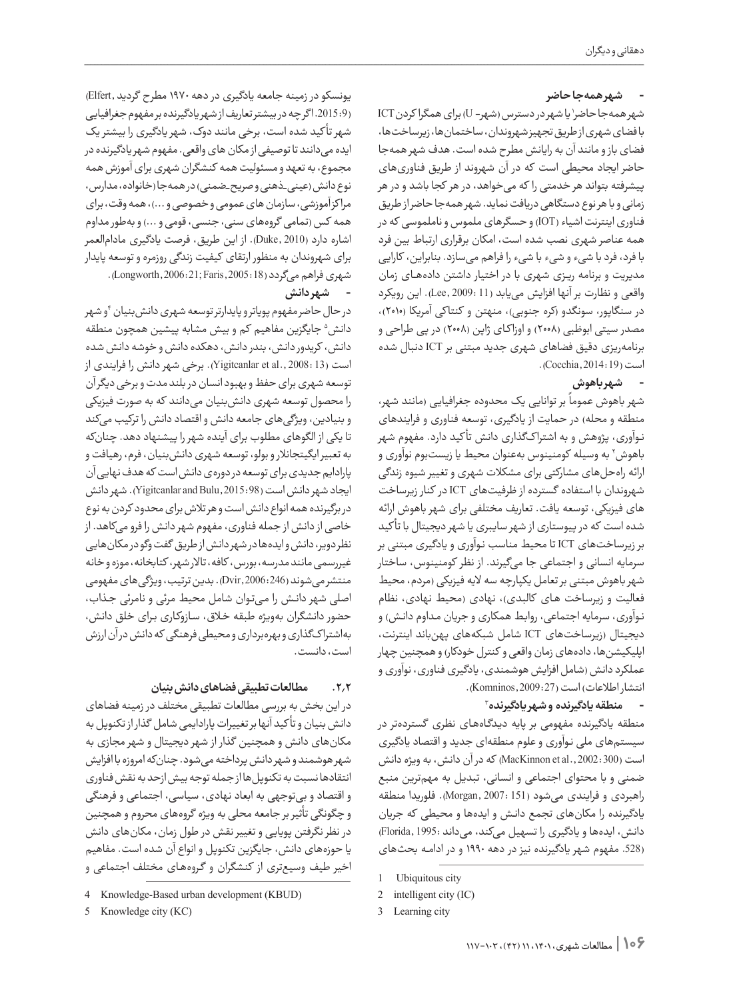## **شهر همهجا حاضر**

1 یا شهر در دسترس )شهر- U )برای همگرا کردنICT**-**شهر همهجا حاضر با فضای شهری از طریق تجهیز شهروندان، ساختمانها، زیرساختها، فضای باز و مانند آن به رایانش مطرح شده است. هدف شهر همهجا حاضر ایجاد محیطی است که در آن شهروند از طریق فناوریهای پیشرفته بتواند هر خدمتی را که میخواهد، در هر کجا باشد و در هر زمانی و با هر نوع دستگاهی دریافت نماید. شهر همهجا حاضر از طریق فناوری اینترنت اشیاء )IOT )و حسگرهای ملموس و ناملموسی که در همه عناصر شهری نصب شده است، امکان برقراری ارتباط بین فرد با فرد، فرد با شیء و شیء با شیء را فراهم میسازد. بنابراین، کارایی مدیریت و برنامه ریـزی شهری با در اختیار داشتن دادههــای زمان واقعی و نظارت بر آنها افزایش مییابد (11 2009: ,Lee(. این رویکرد در سنگاپور، سونگدو (کره جنوبی)، منهتن و کنتاکی آمریکا (۲۰۱۰)، مصدر سیتی ابوظبی )2008( و اوزا کـای ژاپن )2008( در پی طراحی و برنامهریزی دقیق فضاهای شهری جدید مبتنی بر ICT دنبال شده است (19 2014: ,Cocchia(.

# **-شهر باهوش**

مرد.<br>شهر باهوش عموماً بر توانایی یک محدوده جغرافیایی (مانند شهر، منطقه و محله) در حمایت از یادگیری، توسعه فناوری و فرایندهای نـوآوری، پژوهش و به اشترا کگذاری دانش تأ کید دارد. مفهوم شهر باهوش٬ به وسیله کومنینوس بهعنوان محیط یا زیستبوم نواوری و ارائه راهحلهای مشارکتی برای مشکالت شهری و تغییر شیوه زندگی شهروندان با استفاده گسترده از ظرفیتهای ICT در کنار زیرساخت های فیزیکی، توسعه یافت. تعاریف مختلفی برای شهر باهوش ارائه شده است که در پیوستاری از شهر سایبری یا شهر دیجیتال با تأ کید بر زیرساختهای ICT تا محیط مناسب نـوآوری و یادگیری مبتنی بر سرمایه انسانی و اجتماعی جا میگیرند. از نظر کومنینوس، ساختار شهر باهوش مبتنی بر تعامل یکپارچه سه الیه فیزیکی )مردم، محیط فعالیت و زیرساخت های کالبدی)، نهادی (محیط نهادی، نظام نـوآوری، سرمایه اجتماعی، روابط همکاری و جریان مـداوم دانـش) و دیجیتال )زیرساختهای ICT شامل شبکههای پهنباند اینترنت، اپلیکیشنها، دادههای زمان واقعی و کنترل خودکار) و همچنین چهار عملکرد دانش )شامل افزایش هوشمندی، یادگیری فناوری، نوآوری و انتشار اطلاعات) است ( Komninos, 2009: 27).

#### <sup>3</sup> **- منطقه یادگیرنده و شهر یادگیرنده**

منطقه یادگیرنده مفهومی بر پایه دیـدگـاههـای نظری گستردهتر در سیستمهای ملی نـوآوری و علوم منطقهای جدید و اقتصاد یادگیری است )300 2002: .,al et MacKinnon )که در آن دانش، به ویژه دانش ضمنی و با محتوای اجتماعی و انسانی، تبدیل به مهمترین منبع راهبردی و فرایندی میشود (151 2007: ,Morgan(. فلوریدا منطقه یادگیرنده را مکانهای تجمع دانـش و ایدهها و محیطی که جریان دانش، ایدهها و یادگیری را تسهیل میکند، میداند 1995: ,Florida( (.528 مفهوم شهر یادگیرنده نیز در دهه 1990 و در ادامـه بحثهای

یونسکو در زمینه جامعه یادگیری در دهه 1970 مطرح گردید ,Elfert( (9 .2015: ا گر چه در بیشتر تعاریف از شهر یادگیرنده بر مفهوم جغرافیایی شهر تأ کید شده است، برخی مانند دوک، شهر یادگیری را بیشتر یک ایده می دانند تا توصیفی از مکان های واقعی. مفهوم شهر یادگیرنده در مجموع، به تعهد و مسئولیت همه کنشگران شهری برای آموزش همه نوع دانش (عینی\_ذهنی و صریح\_ضمنی) در همه جا (خانواده، مدارس، مرا کز آموزشی، سازمان های عمومی و خصوصی و ...(، همه وقت، برای همه کس )تمامی گروههای سنی، جنسی، قومی و ...( و بهطور مداوم اشاره دارد )2010 ,Duke). از این طریق، فرصت یادگیری مادامالعمر برای شهروندان به منظور ارتقای کیفیت زندگی روزمره و توسعه پایدار شهری فراهم میگردد (Longworth,2006:21; Faris,2005: 18).

# **-شهر دانش**

در حال حاضر مفهوم پویاتر و پایدارتر توسعه شهری دانش بنیان أو شهر دانش<sup>ه</sup> جایگزین مفاهیم کم و بیش مشابه پیشین همچون منطقه دانش، کریدور دانش، بندر دانش، دهکده دانش و خوشه دانش شده است )13 2008: .,al et Yigitcanlar). برخی شهر دانش را فرایندی از توسعه شهری برای حفظ و بهبود انسان در بلند مدت و برخی دیگر آن را محصول توسعه شهری دانشبنیان میدانند که به صورت فیزیکی و بنیادین، ویژگیهای جامعه دانش و اقتصاد دانش را ترکیب میکند تا یکی از الگوهای مطلوب برای آینده شهر را پیشنهاد دهد. چنانکه به تعبیر ایگیتجانالر و بولو، توسعه شهری دانشبنیان، فرم، رهیافت و پارادایم جدیدی برای توسعه در دورهی دانش است که هدف نهایی آن ایجاد شهر دانش است (98: Yigitcanlar and Bulu, 2015). شهر دانش در برگیرنده همه انواع دانش است و هر تالش برای محدود کردن به نوع خاصی از دانش از جمله فناوری، مفهوم شهر دانش را فرو میکاهد. از نظر دویر، دانش و ایدهها در شهر دانش از طریق گفت وگو در مکانهایی غیررسمی مانند مدرسه، بورس، کافه، تاالر شهر، کتابخانه، موزه و خانه منتشر میشوند )246 2006: ,Dvir(. بدین ترتیب، ویژگیهای مفهومی اصلی شهر دانـش را مـیتـوان شامل محیط مرئی و نامرئی جـذاب، حضور دانشگران بهویژه طبقه خـاق، سـازوکـاری بـرای خلق دانش، بهاشترا کگذاری و بهرهبرداری و محیطی فرهنگی که دانش در آن ارزش است، دانست.

#### **.2.2 مطالعات تطبیقی فضاهای دانش بنیان**

در این بخش به بررسی مطالعات تطبیقی مختلف در زمینه فضاهای دانش بنیان و تأ کید آنها بر تغییرات پارادایمی شامل گذار از تکنوپل به مکانهای دانش و همچنین گذار از شهر دیجیتال و شهر مجازی به شهر هوشمند و شهر دانش پرداخته میشود. چنانکه امروزه با افزایش انتقادها نسبت به تکنوپلها از جمله توجه بیش ازحد به نقش فناوری و اقتصاد و بیتوجهی به ابعاد نهادی، سیاسی، اجتماعی و فرهنگی و چگونگی تأثیر بر جامعه محلی به ویژه گروههای محروم و همچنین در نظر نگرفتن پویایی و تغییر نقش در طول زمان، مکانهای دانش یا حوزههای دانش، جایگزین تکنوپل و انواع آن شده است. مفاهیم اخیر طیف وسیعتری از کنشگران و گـروههـای مختلف اجتماعی و

<sup>1</sup> Ubiquitous city

<sup>2</sup> intelligent city  $(IC)$ 

<sup>3</sup> Learning city

<sup>4</sup> Knowledge-Based urban development (KBUD)

<sup>5</sup> Knowledge city (KC)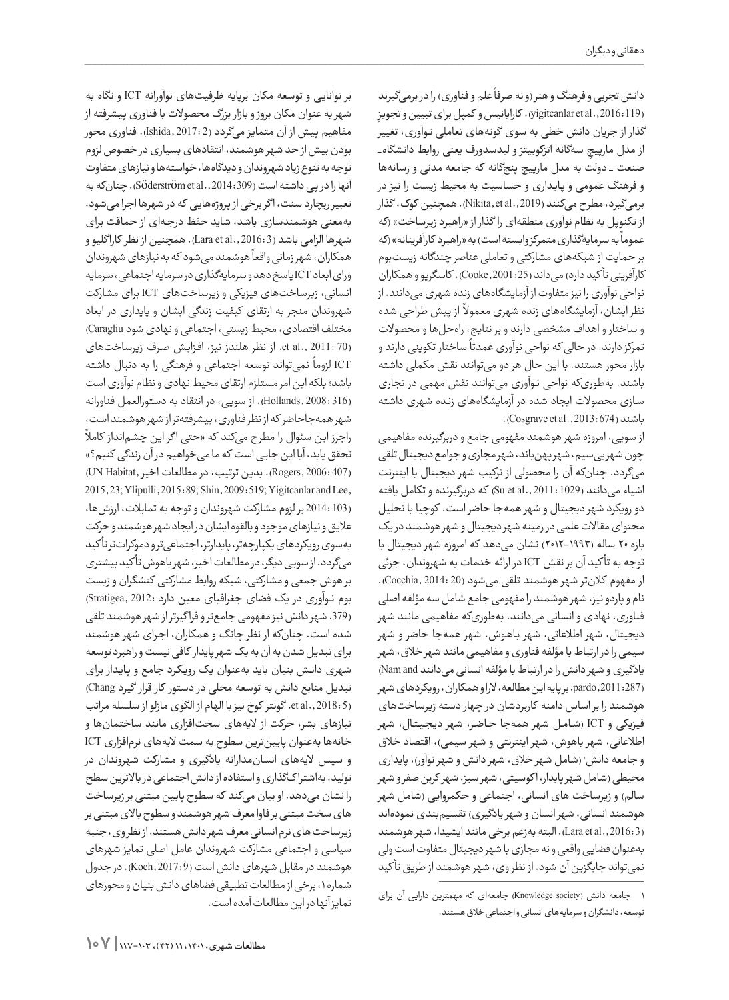دانش تجربی و فرهنگ و هنر (و نه صرفاً علم و فناوری) را در برمیگیرند ِ (119 2016: .,al et yigitcanlar(. کارایانیس و کمپل برای تبیین و تجویز گذار از جریان دانش خطی به سوی گونههای تعاملی نـوآوری، تغییر از مدل مارپیچِ سهگانه اتزکوییتز و لیدسدورف یعنی روابط دانشگاه\_ صنعت \_ دولت به مدل مارپیچ پنجگانه که جامعه مدنی و رسانهها و فرهنگ عمومی و پـایـداری و حساسیت به محیط زیست را نیز در برمیگیرد، مطرح میکنند (Nikita, et al ., 2019). همچنین کوک، گذار از تکنوپل به نظام نوآوری منطقهای را گذار از «راهبرد زیرساخت» (که ر<br>عموماً به سرمایهگذاری متمرکز وابسته است) به «راهبرد کارآفرینانه» (که بر حمایت از شبکههای مشارکتی و تعاملی عناصر چندگانه زیستبوم کارآفرینی تأ کید دارد( میداند (25 2001: ,Cooke(. کاسگریو و همکاران نواحی نوآوری را نیز متفاوت از آزمایشگاههای زنده شهری میدانند. از ر سی گروری و در آزاد و مورد شده و با سیستم کرد می<br>نظر ایشان، آزمایشگاههای زنده شهری معمولاً از پیش طراحی شده و ساختار و اهداف مشخصی دارند و بر نتایج، راهحلها و محصوالت ر<br>نمرکز دارند. در حالی که نواحی نوآوری عمدتاً ساختار تکوینی دارند و بازار محور هستند. با این حال هر دو میتوانند نقش مکملی داشته باشند. بهطوریکه نواحی نـوآوری میتوانند نقش مهمی در تجاری سـازی محصوالت ایجاد شده در آزمایشگاههای زنـده شهری داشته  $\cdot$  (Cosgrave et al., 2013: 674).

از سویی، امروزه شهر هوشمند مفهومی جامع و دربرگیرنده مفاهیمی چون شهر بیسیم، شهر پهنباند، شهر مجازی و جوامع دیجیتال تلقی میگردد. چنانکه آن را محصولی از ترکیب شهر دیجیتال با اینترنت اشیاء میدانند (1029 : Su et al., 2011) که دربرگیرنده و تکامل یافته دو رویکرد شهر دیجیتال و شهر همهجا حاضر است. کوچیا با تحلیل محتوای مقاالت علمی در زمینه شهر دیجیتال و شهر هوشمند در یک بازه 20 ساله )2012-1993( نشان میدهد که امروزه شهر دیجیتال با توجه به تأ کید آن بر نقش ICT در ارائه خدمات به شهروندان، جزئی از مفهوم کلانتر شهر هوشمند تلقی میشود (Cocchia, 2014: 20. نام و پاردو نیز، شهر هوشمند را مفهومی جامع شامل سه مؤلفه اصلی فناوری، نهادی و انسانی میدانند. بهطوریکه مفاهیمی مانند شهر دیجیتال، شهر اطالعاتی، شهر بـاهـوش، شهر همهجا حاضر و شهر سیمی را در ارتباط با مؤلفه فناوری و مفاهیمی مانند شهر خالق، شهر یادگیری و شهر دانش را در ارتباط با مؤلفه انسانی میدانند and Nam( (287 2011: ,pardo. بر پایه این مطالعه، الرا و همکاران، رویکردهای شهر هوشمند را بر اساس دامنه کاربردشان در چهار دسته زیرساختهای فیزیکی و ICT( شـامـل شهر همهجا حـاضـر، شهر دیـجـیـتـال، شهر اطلاعاتی، شهر باهوش، شهر اینترنتی و شهر سیمی)، اقتصاد خلاق و جامعه دانش ٰ (شامل شهر خلاق، شهر دانش و شهر نواور)، پایداری محیطی )شامل شهر پایدار، ا کوسیتی، شهر سبز، شهر کربن صفر و شهر سالم) و زیرساخت های انسانی، اجتماعی و حکمروایی (شامل شهر هوشمند انسانی، شهر انسان و شهر یادگیری) تقسیمبندی نمودهاند (3 2016: .,al et Lara(. البته بهزعم برخی مانند ایشیدا، شهر هوشمند بهعنوان فضایی واقعی و نه مجازی با شهر دیجیتال متفاوت است ولی نمیتواند جایگزین آن شود. از نظر وی، شهر هوشمند از طریق تأ کید

بر توانایی و توسعه مکان برپایه ظرفیتهای نوآورانه ICT و نگاه به شهر به عنوان مکان بروز و بازار بزرگ محصوالت با فناوری پیشرفته از مفاهیم پیش از آن متمایز میگردد (2 2017: ,Ishida(. فناوری محور بودن بیش از حد شهر هوشمند، انتقادهای بسیاری در خصوص لزوم توجه به تنوع زیاد شهروندان و دیدگاهها، خواستهها و نیازهای متفاوت آنها را در پی داشته است (309:301, .Söderström et al.). چنان که به تعبیر ریچارد سنت، ا گر برخی از پروژههایی که در شهرها اجرا میشود، بهمعنی هوشمندسازی باشد، شاید حفظ درجـهای از حماقت برای شهرها الزامی باشد (3 2016: .,al et Lara(. همچنین از نظر کارا گلیو و سمبر<br>همکاران، شهرزمانی واقعاً هوشمند میشود که به نیازهای شهروندان ورای ابعاد ICT پاسخ دهد و سرمایهگذاری در سرمایه اجتماعی، سرمایه انسانی، زیرساختهای فیزیکی و زیرساختهای ICT برای مشارکت شهروندان منجر به ارتقای کیفیت زندگی ایشان و پایداری در ابعاد مختلف اقتصادی، محیط زیستی، اجتماعی و نهادی شود Caragliu( (70 2011: .,al et. از نظر هلندز نیز، افـزایـش صـرف زیرساختهای ً نمیتواند توسعه اجتماعی و فرهنگی را به دنبال داشته ICT لزوما باشد؛ بلکه این امر مستلزم ارتقای محیط نهادی و نظام نوآوری است (316 2008: ,Hollands(. از سویی، در انتقاد به دستورالعمل فناورانه ً شهر همهجاحاضر که از نظر فناوری، پیشرفتهتر از شهر هوشمند است، راجرز این سئوال را مطرح میکند که »حتی ا گر این چشمانداز کامال تحقق یابد، آیا این جایی است که ما میخواهیم در آن زندگی کنیم؟« (407 Rogers, 2006: بدین ترتیب، در مطالعات اخیر ,UN Habitat 2015, 23; Ylipulli, 2015: 89; Shin, 2009: 519; Yigitcanlar and Lee, (103 2014: بر لزوم مشارکت شهروندان و توجه به تمایالت، ارزشها، عالیق و نیازهای موجود و بالقوه ایشان در ایجاد شهر هوشمند و حرکت بهسوی رویکردهای یکپارچهتر، پایدارتر، اجتماعیتر و دموکراتتر تأ کید میگردد. از سویی دیگر، در مطالعات اخیر، شهر باهوش تأ کید بیشتری بر هوش جمعی و مشارکتی، شبکه روابط مشارکتی کنشگران و زیست بوم نــوآوری در یک فضای جغرافیای معین دارد 2012: ,Stratigea( (.379 شهر دانش نیز مفهومی جامعتر و فرا گیرتر از شهر هوشمند تلقی شده است. چنانکه از نظر چانگ و همکاران، اجـرای شهر هوشمند برای تبدیل شدن به آن به یک شهر پایدار کافی نیست و راهبرد توسعه شهری دانـش بنیان باید بهعنوان یک رویـکـرد جامع و پـایـدار برای تبدیل منابع دانش به توسعه محلی در دستور کار قرار گیرد Chang( et al., 2018: 5). گونتر کوخ نیز با الهام از الگوی مازلو از سلسله مراتب نیازهای بشر، حرکت از الیههای سختافزاری مانند ساختمانها و خانهها بهعنوان پایینترین سطوح به سمت الیههای نرمافزاری ICT و سپس الیههای انسانمدارانه یادگیری و مشارکت شهروندان در تولید، بهاشتراکگذاری و استفاده از دانش اجتماعی در بالاترین سطح را نشان میدهد. او بیان میکند که سطوح پایین مبتنی بر زیرساخت های سخت مبتنی بر فاوا معرف شهر هوشمند و سطوح باالی مبتنی بر زیرساخت های نرم انسانی معرف شهر دانش هستند. از نظر وی، جنبه سیاسی و اجتماعی مشارکت شهروندان عامل اصلی تمایز شهرهای هوشمند در مقابل شهرهای دانش است (Koch, 2017: 9). در جدول شماره ،1 برخی از مطالعات تطبیقی فضاهای دانش بنیان و محورهای تمایز آنها در این مطالعات آمده است.

<sup>1</sup> جامعه دانش )society Knowledge )جامعهای که مهمترین دارایی آن برای توسعه، دانشگران و سرمایههای انسانی و اجتماعی خالق هستند.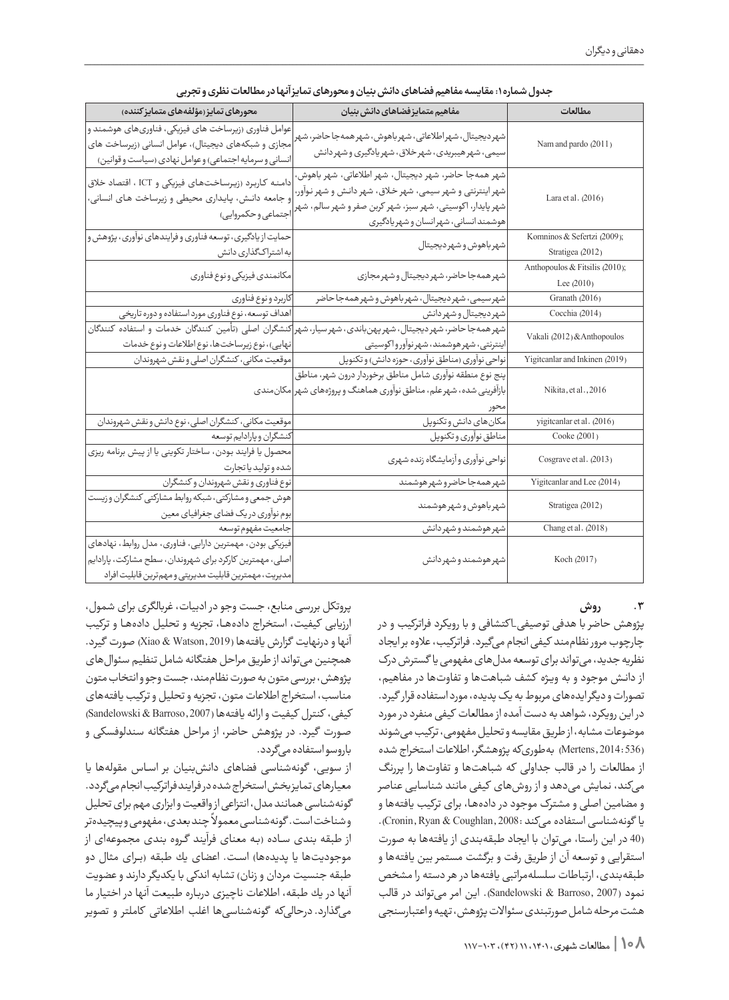| محورهای تمایز (مؤلفههای متمایز کننده)                                                                                                                                        | مفاهيم متمايز فضاهاى دانش بنيان                                                                                                                                                                                         | مطالعات                                         |  |  |  |  |
|------------------------------------------------------------------------------------------------------------------------------------------------------------------------------|-------------------------------------------------------------------------------------------------------------------------------------------------------------------------------------------------------------------------|-------------------------------------------------|--|--|--|--|
| عوامل فناوری (زیرساخت های فیزیکی، فناوریهای هوشمند و<br>مجازی و شبکههای دیجیتال)، عوامل انسانی (زیرساخت های<br>انسانی و سرمایه اجتماعی) و عوامل نهادی (سیاست و قوانین)       | شهردیجیتال، شهراطلاعاتی، شهرباهوش، شهرهمهجاحاضر، شهر<br>سیمی، شهر هیبریدی، شهرخلاق، شهر یادگیری و شهر دانش                                                                                                              | Nam and pardo (2011)                            |  |  |  |  |
| دامنه کاربرد (زیرساختهای فیزیکی و ICT ، اقتصاد خلاق<br>و جامعه دانـش، پایـداری محیطی و زیرساخت هـای انسانی،<br>اجتماعي وحكمروايي)                                            | شهر همهجا حاضر، شهر ديجيتال، شهر اطلاعاتى، شهر باهوش،<br>شهر اینترنتی و شهر سیمی، شهر خلاق، شهر دانش و شهر نوآور،<br>شهر پایدار، اکوسیتی، شهر سبز، شهر کربن صفر و شهر سالم، شهر<br>هوشمند انسانى، شهرانسان و شهريادگيرى | Lara et al. (2016)                              |  |  |  |  |
| حمایت از یادگیری، توسعه فناوری و فرایندهای نوآوری، پژوهش و<br>به اشتراکگذاری دانش                                                                                            | شهرباهوش وشهرديجيتال                                                                                                                                                                                                    | Komninos & Sefertzi (2009);<br>Stratigea (2012) |  |  |  |  |
| مكانمندى فيزيكي ونوع فناورى                                                                                                                                                  | شهر همهجا حاضر، شهر ديجيتال و شهر مجازى                                                                                                                                                                                 | Anthopoulos & Fitsilis (2010);<br>Lee (2010)    |  |  |  |  |
| كاربرد ونوع فناوري                                                                                                                                                           | شهرسیمی، شهر دیجیتال، شهر باهوش و شهر همه جا حاضر                                                                                                                                                                       | Granath (2016)                                  |  |  |  |  |
| اهداف توسعه، نوع فناوري مورد استفاده و دوره تاريخي                                                                                                                           | شهرديجيتال وشهردانش                                                                                                                                                                                                     | Cocchia (2014)                                  |  |  |  |  |
| نهایی)، نوع زیرساختها، نوع اطلاعات و نوع خدمات                                                                                                                               | شهرهمهجا حاضر، شهر دیجیتال، شهرپهنباندی، شهرسیار، شهر کنشگران اصلی (تأمین کنندگان خدمات و استفاده کنندگان<br>اینترنتی، شهر هوشمند، شهرنوآورواکوسیتی                                                                     | Vakali (2012) & Anthopoulos                     |  |  |  |  |
| موقعیت مکانی، کنشگران اصلی و نقش شهروندان                                                                                                                                    | نواحی نوآوری (مناطق نوآوری، حوزه دانش) و تکنوپل                                                                                                                                                                         | Yigitcanlar and Inkinen (2019)                  |  |  |  |  |
|                                                                                                                                                                              | پنج نوع منطقه نوآوري شامل مناطق برخوردار درون شهر، مناطق<br>بازآفرینی شده، شهرعلم، مناطق نوآوری هماهنگ و پروژههای شهر مکانمندی                                                                                          | Nikita, et al., 2016                            |  |  |  |  |
| موقعیت مکانی، کنشگران اصلی، نوع دانش و نقش شهروندان                                                                                                                          | مكان هاى دانش وتكنوپل                                                                                                                                                                                                   | yigitcanlar et al. (2016)                       |  |  |  |  |
| كنشگران و پارادايم توسعه                                                                                                                                                     | مناطق نوأوري وتكنوپل                                                                                                                                                                                                    | Cooke (2001)                                    |  |  |  |  |
| محصول يا فرايند بودن، ساختار تكويني يا از پيش برنامه ريزي<br>شده وتوليد يا تجارت                                                                                             | نواحي نوأوري وأزمايشگاه زنده شهري                                                                                                                                                                                       | Cosgrave et al. (2013)                          |  |  |  |  |
| نوع فناوري ونقش شهروندان وكنشكران                                                                                                                                            | .<br>شهرهمهجاحاضروشهرهوشمند                                                                                                                                                                                             | Yigitcanlar and Lee (2014)                      |  |  |  |  |
| هوش جمعی و مشارکتی، شبکه روابط مشارکتی کنشگران و زیست<br>بوم نوآوري دريك فضاي جغرافياي معين                                                                                  | شهرباهوش وشهرهوشمند                                                                                                                                                                                                     | Stratigea (2012)                                |  |  |  |  |
| جامعيت مفهوم توسعه                                                                                                                                                           | شهرهوشمند وشهردانش                                                                                                                                                                                                      | Chang et al. (2018)                             |  |  |  |  |
| فیزیکی بودن، مهمترین دارایی، فناوری، مدل روابط، نهادهای<br>اصلی، مهمترین کارکرد برای شهروندان، سطح مشارکت، پارادایم<br>مديريت، مهمترين قابليت مديريتي ومهم ترين قابليت افراد | شهر هوشمند و شهر دانش                                                                                                                                                                                                   | Koch (2017)                                     |  |  |  |  |

| جدول شماره ۱: مقایسه مفاهیم فضاهای دانش بنیان و محورهای تمایزآنها در مطالعات نظری و تجربی |  |  |  |  |
|-------------------------------------------------------------------------------------------|--|--|--|--|
|-------------------------------------------------------------------------------------------|--|--|--|--|

# **.3 روش**

پژوهش حاضر با هدفی توصیفی\_ا کتشافی و با رویکرد فراترکیب و در چارچوب مرور نظاممند کیفیانجام میگیرد. فراترکیب، عالوه بر ایجاد نظریه جدید، میتواند برای توسعه مدلهای مفهومی یا گسترش درک از دانـش موجود و به ویـژه کشف شباهتها و تفاوتها در مفاهیم، تصورات و دیگر ایدههای مربوط به یک پدیده، مورد استفاده قرار گیرد. در این رویکرد، شواهد به دست آمده از مطالعات کیفی منفرد در مورد موضوعات مشابه، از طریق مقایسه و تحلیل مفهومی، ترکیب میشوند (536 2014: ,Mertens (بهطوریکه پژوهشگر، اطالعات استخراج شده از مطالعات را در قالب جداولی که شباهتها و تفاوتها را پررنگ میکند، نمایش میدهد و از روشهای کیفی مانند شناسایی عناصر و مضامین اصلی و مشترک موجود در دادههـا، برای ترکیب یافتهها و یا گونهشناسی استفاده می کند :Cronin, Ryan & Coughlan, 2008). (40 در این راستا، میتوان با ایجاد طبقهبندی از یافتهها به صورت استقرایی و توسعه آن از طریق رفت و برگشت مستمر بین یافتهها و طبقهبندی، ارتباطات سلسلهمراتبی یافتهها در هر دسته را مشخص نمود (2007 ,Barroso & Sandelowski(. این امر میتواند در قالب هشت مرحله شامل صورتبندی سئواالت پژوهش، تهیه و اعتبارسنجی

پروتکل بررسی منابع، جست وجو در ادبیات، غربالگری برای شمول، ارزیابی کیفیت، استخراج دادههــا، تجزیه و تحلیل دادههــا و ترکیب آنها و درنهایت گزارش یافتهها (2019 ,Watson & Xiao (صورت گیرد. همچنین میتواند از طریق مراحل هفتگانه شامل تنظیم سئوالهای پژوهش، بررسی متون به صورت نظاممند، جست وجو و انتخاب متون مناسب، استخراج اطالعات متون، تجزیه و تحلیل و ترکیب یافتههای کیفی، کنترل کیفیت و ارائه یافتهها (2007 ,Barroso & Sandelowski( صورت گیرد. در پژوهش حاضر، از مراحل هفتگانه سندلوفسکی و باروسو استفاده میگردد.

از سویی، گونهشناسی فضاهای دانشبنیان بر اسـاس مقولهها یا معیارهای تمایز بخش استخراج شده در فرایند فراترکیب انجام میگردد. گونهشناسی همانند مدل، انتزاعی از واقعیت و ابزاری مهم برای تحلیل ر<br>وشناخت است. گونهشناسی معمولاً چند بعدی، مفهومی و پیچیدهتر از طبقه بندی سـاده )بـه معنای فرآیند گـروه بندی مجموعهای از موجودیتها یا پدیدهها) است. اعضای یك طبقه (برای مثال دو طبقه جنسیت مردان و زنان) تشابه اندكی با یكدیگر دارند و عضویت آنها در یك طبقه، اطالعات ناچیزی دربـاره طبیعت آنها در اختیار ما میگذارد. درحالیكه گونهشناسیها اغلب اطالعاتی كاملتر و تصویر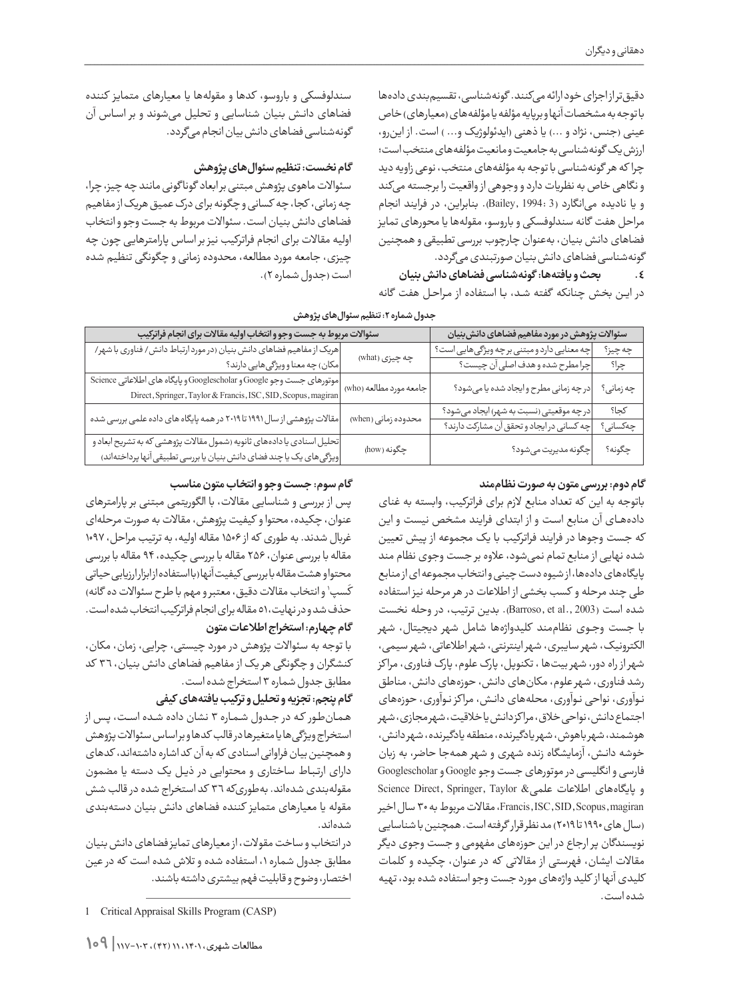دقیقتر از اجزای خود ارائه میكنند. گونهشناسی، تقسیمبندی دادهها با توجه به مشخصات آنها و برپایه مؤلفه یا مؤلفه های (معیارهای) خاص عینی (جنس، نژاد و ...) یا ذهنی (ایدئولوژیک و... ) است. از اینرو، ارزش یک گونهشناسی به جامعیت و مانعیت مؤلفههای منتخب است؛ چرا که هر گونهشناسی با توجه به مؤلفههای منتخب، نوعی زاویه دید و نگاهی خاص به نظریات دارد و وجوهی از واقعیت را برجسته میکند و یا نادیده میانگارد (3 1994: ,Bailey(. بنابراین، در فرایند انجام مراحل هفت گانه سندلوفسکی و باروسو، مقولهها یا محورهای تمایز فضاهای دانش بنیان، بهعنوان چارچوب بررسی تطبیقی و همچنین گونهشناسی فضاهای دانش بنیان صورتبندی میگردد.

**.4 بحث و یافتهها: گونهشناسی فضاهای دانش بنیان**

در ایـن بخش چنانکه گفته شـد، بـا استفاده از مـراحـل هفت گانه

سندلوفسکی و باروسو، کدها و مقولهها یا معیارهای متمایز کننده فضاهای دانـش بنیان شناسایی و تحلیل میشوند و بر اسـاس آن گونهشناسی فضاهای دانش بیان انجام میگردد.

# **گام نخست: تنظیم سئوالهای پژوهش**

سئواالت ماهوی پژوهش مبتنی بر ابعاد گونا گونی مانند چه چیز، چرا، چه زمانی، کجا، چه کسانی و چگونه برای درک عمیق هریک از مفاهیم فضاهای دانش بنیان است. سئواالت مربوط به جست وجو و انتخاب اولیه مقاالت برای انجام فراترکیب نیز بر اساس پارامترهایی چون چه چیزی، جامعه مورد مطالعه، محدوده زمانی و چگونگی تنظیم شده است (جدول شماره ۲).

| جدول شماره ۲: تنظیم سئوال های پژوهش |
|-------------------------------------|
|-------------------------------------|

| سئوالات مربوط به جست وجو وانتخاب اوليه مقالات براي انجام فراتركيب            | سئوالات پژوهش در مورد مفاهیم فضاهای دانش بنیان |                                              |           |
|------------------------------------------------------------------------------|------------------------------------------------|----------------------------------------------|-----------|
| هریک از مفاهیم فضاهای دانش بنیان (در مورد ارتباط دانش/ فناوری با شهر/        | چه چیزی (what)                                 | چه معنایی دارد و مبتنی بر چه ویژگی هایی است؟ | چە چيز؟   |
| مکان) چه معنا و ویژگی هایی دارند؟                                            |                                                | چرا مطرح شده و هدف اصلی آن چیست؟             | چرا؟      |
| موتورهای جست وجو Googlescholar و Googlescholar و پایگاه های اطلاعاتی Science | جامعه مورد مطالعه (who)                        | ادر چه زمانی مطرح و ایجاد شده یا می شود؟     | چە زمانى؟ |
| Direct, Springer, Taylor & Francis, ISC, SID, Scopus, magiran                |                                                |                                              |           |
| مقالات پژوهشی از سال ۱۹۹۱ تا ۲۰۱۹ در همه پایگاه های داده علمی بررسی شده      | محدوده زمانی (when)                            | در چه موقعیتی (نسبت به شهر) ایجاد می شود؟    | كجا؟      |
|                                                                              |                                                | چه کسانی در ایجاد و تحقق آن مشارکت دارند؟    | چەكسانى؟  |
| تحلیل اسنادی یا دادههای ثانویه (شمول مقالات پژوهشی که به تشریح ابعاد و       | چگونه (how)                                    | چگونه مديريت مىشود؟                          | چگونه؟    |
| ویژگیهای یک یا چند فضای دانش بنیان یا بررسی تطبیقی آنها پرداختهاند)          |                                                |                                              |           |

## **گام دوم: بررسی متون به صورت نظاممند**

باتوجه به این که تعداد منابع الزم برای فراترکیب، وابسته به غنای دادههــای آن منابع اسـت و از ابتدای فرایند مشخص نیست و این که جست وجوها در فرایند فراترکیب با یک مجموعه از پیش تعیین شده نهایی از منابع تمام نمیشود، عالوه بر جست وجوی نظام مند پایگاههای دادهها، از شیوه دست چینی و انتخاب مجموعه ای از منابع طی چند مرحله و کسب بخشی از اطالعات در هر مرحله نیز استفاده شده است )2003 .,al et ,Barroso). بدین ترتیب، در وحله نخست با جست وج وی نظاممند کلیدواژهها شامل شهر دیجیتال، شهر الکترونیک، شهر سایبری، شهر اینترنتی، شهر اطالعاتی، شهر سیمی، شهر از راه دور، شهر بیتها ، تکنوپل، پارک علوم، پارک فناوری، مرا کز رشد فناوری، شهر علوم، مکانهای دانش، حوزههای دانش، مناطق نـوآوری، نواحی نـوآوری، محلههای دانـش، مرا کز نـوآوری، حوزههای اجتماع دانش، نواحی خالق، مرا کز دانش یا خالقیت، شهر مجازی، شهر هوشمند، شهر باهوش، شهر یادگیرنده، منطقه یادگیرنده، شهر دانش، خوشه دانـش، آزمایشگاه زنده شهری و شهر همهجا حاضر، به زبان فارسی و انگلیسی در موتورهای جست وجوGoogle وGooglescholar Science Direct, Springer, Taylor & حالي علمي magiran ,Scopus ,SID ,ISC ,Francis،مقاالت مربوط به 30 سال اخیر )سال های 1990 تا 2019( مد نظر قرار گرفته است. همچنین با شناسایی نویسندگان پر ارجاع در این حوزههای مفهومی و جست وجوی دیگر مقاالت ایشان، فهرستی از مقاالتی که در عنوان، چکیده و کلمات کلیدی آنها از کلید واژههای مورد جست وجو استفاده شده بود، تهیه شده است.

#### **گام سوم: جست وجو و انتخاب متون مناسب**

پس از بررسی و شناسایی مقاالت، با الگوریتمی مبتنی بر پارامترهای عنوان، چکیده، محتوا و کیفیت پژوهش، مقاالت به صورت مرحلهای غربال شدند. به طوری که از 1506 مقاله اولیه، به ترتیب مراحل، 1097 مقاله با بررسی عنوان، 256 مقاله با بررسی چکیده، 94 مقاله با بررسی محتوا و هشت مقاله با بررسی کیفیت آنها )با استفاده از ابزار ارزیابی حیاتی ر در در در در دوره شده شده و مهم با طرح سئوالات ده گانه)<br>کَسپ ٰ و انتخاب مقالات دقیق، معتبر و مهم با طرح سئوالات ده گانه) حذف شد و در نهایت، 51 مقاله برای انجام فراترکیب انتخاب شده است. **گام چهارم: استخراج اطالعات متون**

با توجه به سئواالت پژوهش در مورد چیستی، چرایی، زمان، مکان، کنشگران و چگونگی هر یک از مفاهیم فضاهای دانش بنیان، 36 کد مطابق جدول شماره 3 استخراج شده است.

## **گام پنجم: تجزیه و تحلیل و ترکیب یافتههای کیفی**

هـمـانطـور کـه در جــدول شـمـاره 3 نشان داده شـده اســت، پـس از استخراج ویژگی ها یا متغیرها در قالب کدها و بر اساس سئوالات پژوهش و همچنین بیان فراوانی اسنادی که به آن کد اشاره داشتهاند، کدهای دارای ارتـبـاط ساختاری و محتوایی در ذیـل یک دسته یا مضمون مقولهبندی شدهاند. بهطوریکه 36 کد استخراج شده در قالب شش مقوله یا معیارهای متمایز کننده فضاهای دانش بنیان دستهبندی شدهاند.

در انتخاب و ساخت مقوالت، از معیارهای تمایز فضاهای دانش بنیان مطابق جدول شماره ،1 استفاده شده و تالش شده است که در عین اختصار، وضوح و قابلیت فهم بیشتری داشته باشند.

<sup>1</sup> Critical Appraisal Skills Program (CASP)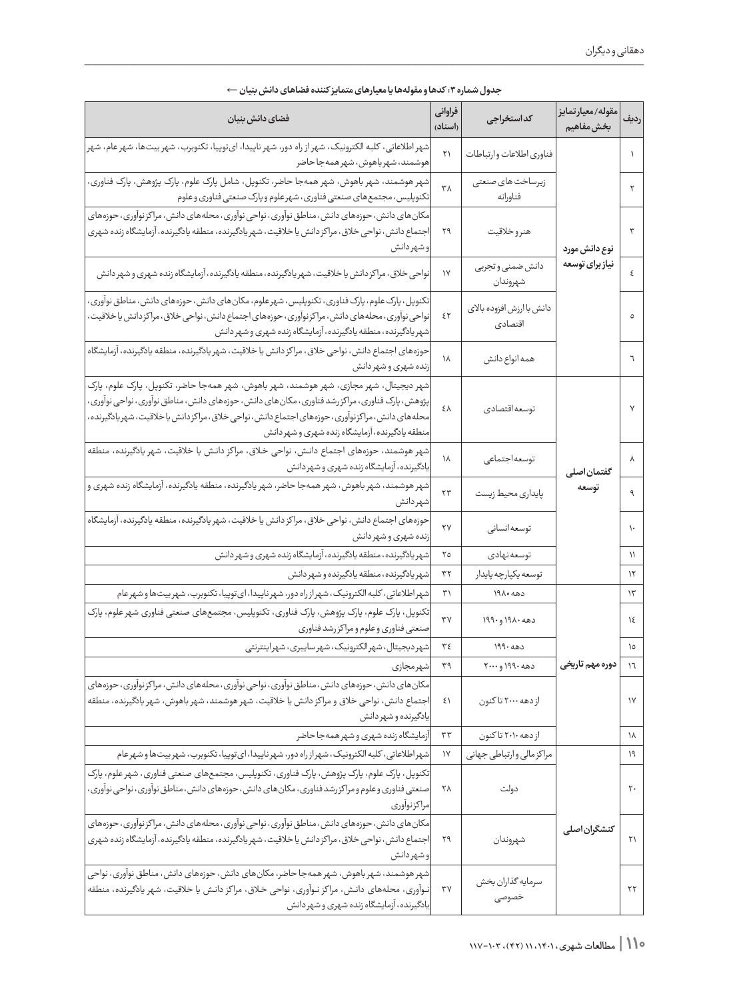| فضاي دانش بنيان                                                                                                                                                                                                                                                                                                                            | فراواني<br>(اسناد) | كداستخراجى                           | مقوله/معيارتمايز<br>بخشءفاهيم | رديف              |
|--------------------------------------------------------------------------------------------------------------------------------------------------------------------------------------------------------------------------------------------------------------------------------------------------------------------------------------------|--------------------|--------------------------------------|-------------------------------|-------------------|
| شهر اطلاعاتی، کلبه الکترونیک، شهر از راه دور، شهر ناپیدا، ایتوپیا، تکنوبرب، شهر بیتها، شهر عام، شهر <mark>ا</mark><br>هوشمند، شهرباهوش، شهرهمهجاحاضر                                                                                                                                                                                       |                    | فناوري اطلاعات وارتباطات             |                               |                   |
| شهر هوشمند، شهر باهوش، شهر همهجا حاضر، تکنوپل، شامل پارک علوم، پارک پژوهش، پارک فناوری،<br>تکنوپلیس، مجتمعهای صنعتی فناوری، شهرعلوم و پارک صنعتی فناوری و علوم                                                                                                                                                                             | ٣٨                 | زیرساخت های صنعتی<br>فناورانه        |                               | ٢                 |
| مکان های دانش، حوزههای دانش، مناطق نوآوری، نواحی نوآوری، محلههای دانش، مراکز نوآوری، حوزههای<br>اجتماع دانش، نواحی خلاق، مراکز دانش یا خلاقیت، شهریادگیرنده، منطقه یادگیرنده، آزمایشگاه زنده شهری<br>وشهردانش                                                                                                                              | ۲۹                 | هنروخلاقيت                           | نوع دانش مورد                 | ٣                 |
| نواحی خلاق، مراکز دانش یا خلاقیت، شهر یادگیرنده، منطقه یادگیرنده، آزمایشگاه زنده شهری و شهر دانش                                                                                                                                                                                                                                           | $\mathsf{N}$       | دانش ضمنى و تجربى<br>شهروندان        | نیاز برای توسعه               | ٤                 |
| تکنوپل، پارک علوم، پارک فناوری، تکنوپلیس، شهرعلوم، مکان های دانش، حوزههای دانش، مناطق نوآوری،<br>نواحی نوآوری، محلههای دانش، مراکزنوآوری، حوزههای اجتماع دانش، نواحی خلاق، مراکز دانش یا خلاقیت،<br>شهر یادگیرنده، منطقه یادگیرنده، آزمایشگاه زنده شهری و شهر دانش                                                                         | ٤٢                 | دانش با ارزش افزوده بالای<br>اقتصادى |                               | ٥                 |
| حوزههای اجتماع دانش، نواحی خلاق، مراکز دانش یا خلاقیت، شهر یادگیرنده، منطقه یادگیرنده، آزمایشگاه<br>زنده شهري و شهر دانش                                                                                                                                                                                                                   | ١٨                 | همه انواع دانش                       |                               | ٦                 |
| شهر دیجیتال، شهر مجازی، شهر هوشمند، شهر باهوش، شهر همهجا حاضر، تکنوپل، پارک علوم، پارک<br>پژوهش، پارک فناوری، مراکزرشد فناوری، مکانهای دانش، حوزههای دانش، مناطق نوآوری، نواحی نوآوری،<br>محله های دانش، مراکزنوآوری، حوزههای اجتماع دانش، نواحی خلاق، مراکزدانش یاخلاقیت، شهریادگیرنده،<br>منطقه يادگيرنده، آزمايشگاه زنده شهري و شهردانش | ٤٨                 | توسعه اقتصادي                        |                               | $\mathsf{V}$      |
| شهر هوشمند، حوزەهاى اجتماع دانش، نواحى خلاق، مراكز دانش يا خلاقيت، شهر يادگيرنده، منطقه<br>یادگیرنده، آزمایشگاه زنده شهری و شهر دانش                                                                                                                                                                                                       | ۱۸                 | توسعه جتماعى                         | گفتمان اصلی                   | γ                 |
| شهر هوشمند، شهر باهوش، شهر همهجا حاضر، شهر یادگیرنده، منطقه یادگیرنده، آزمایشگاه زنده شهری و <br>شهردانش                                                                                                                                                                                                                                   | پایداری محیط زیست  | توسعه                                | ٩                             |                   |
| حوزههای اجتماع دانش، نواحی خلاق، مراکز دانش یا خلاقیت، شهر یادگیرنده، منطقه یادگیرنده، آزمایشگاه<br>زنده شهري و شهر دانش                                                                                                                                                                                                                   | ۲۷                 | توسعه انسانى                         |                               | ١.                |
| شهر یادگیرنده، منطقه یادگیرنده، آزمایشگاه زنده شهری و شهردانش                                                                                                                                                                                                                                                                              | ٢٥                 | توسعه نهادي                          |                               | $\setminus$       |
| شهر یادگیرنده، منطقه یادگیرنده و شهر دانش                                                                                                                                                                                                                                                                                                  | ٣٢                 | توسعه يكپارچه پايدار                 |                               | ۱۲                |
| شهر اطلاعاتی، کلبه الکترونیک، شهر از راه دور، شهر ناپیدا، ای توپیا، تکنوبرب، شهر بیتها و شهر عام                                                                                                                                                                                                                                           | ٣١                 | دهه ۱۹۸۰                             |                               | $\Upsilon$        |
| تکنوپل، پارک علوم، پارک پژوهش، پارک فناوری، تکنوپلیس، مجتمعهای صنعتی فناوری شهر علوم، پارک<br>صنعتى فناورى وعلوم ومراكزرشد فناورى                                                                                                                                                                                                          | $\mathbf{y}$       | دهه ۱۹۸۰ و ۱۹۹۰                      |                               | $\lambda$         |
| شهر دیجیتال، شهرالکترونیک، شهرسایبری، شهراینترنتی                                                                                                                                                                                                                                                                                          | ٣٤                 | 199.400                              |                               | ١٥                |
| شهرمجازي                                                                                                                                                                                                                                                                                                                                   | ٣٩                 | دهه ۱۹۹۰ و۲۰۰۰                       | دوره مهم تاریخی               | $\mathcal{L}$     |
| مکان های دانش، حوزههای دانش، مناطق نوآوری، نواحی نوآوری، محلههای دانش، مراکز نوآوری، حوزههای<br>اجتماع دانش، نواحی خلاق و مراکز دانش یا خلاقیت، شهر هوشمند، شهر باهوش، شهر یادگیرنده، منطقه<br>يادگيرنده و شهر دانش                                                                                                                        | ٤١                 | از دهه ۲۰۰۰ تا کنون                  | $\gamma$                      |                   |
| آزمایشگاه زنده شهری و شهر همهجا حاضر                                                                                                                                                                                                                                                                                                       | ٣٣                 | ازدهه ۲۰۱۰ تاکنون                    |                               | ١٨                |
| شهر اطلاعاتی، کلبه الکترونیک، شهر از راه دور، شهر ناپیدا، ای توپیا، تکنوبرب، شهر بیتها و شهر عام                                                                                                                                                                                                                                           | $\gamma$           | مراكز مالي وارتباطي جهاني            |                               | ۱۹                |
| تکنوپل، پارک علوم، پارک پژوهش، پارک فناوری، تکنوپلیس، مجتمعهای صنعتی فناوری، شهر علوم، پارک<br>صنعتی فناوری و علوم و مراکز رشد فناوری ، مکان های دانش ، حوزههای دانش ، مناطق نوآوری ، نواحی نوآوری ،<br>مراكز نوآورى                                                                                                                       | ۲۸                 | دولت                                 |                               | $\mathsf{r}\cdot$ |
| مکان های دانش، حوزههای دانش، مناطق نوآوری، نواحی نوآوری، محلههای دانش، مراکز نوآوری، حوزههای<br> اجتماع دانش، نواحی خلاق، مراکز دانش یا خلاقیت، شهریادگیرنده، منطقه یادگیرنده، آزمایشگاه زنده شهری<br>و شهر دانش                                                                                                                           | شهروندان<br>۲۹     |                                      | كنشگران اصلى                  | ۲۱                |
| شهر هوشمند، شهر باهوش، شهر همهجا حاضر، مکان های دانش، حوزههای دانش، مناطق نوآوری، نواحی<br>نـوآوري، محلههاي دانـش، مراكز نـوآوري، نواحي خـلاق، مراكز دانـش يا خلاقيت، شهر يادگيرنده، منطقه<br>یادگیرنده، آزمایشگاه زنده شهری و شهر دانش                                                                                                    | ٣٧                 | سرمايه گذاران بخش<br>خصوصى           |                               | ۲۲                |

| جدول شماره ۳: کدها و مقولهها یا معیارهای متمایز کننده فضاهای دانش بنیان ← |  |  |  |
|---------------------------------------------------------------------------|--|--|--|
|---------------------------------------------------------------------------|--|--|--|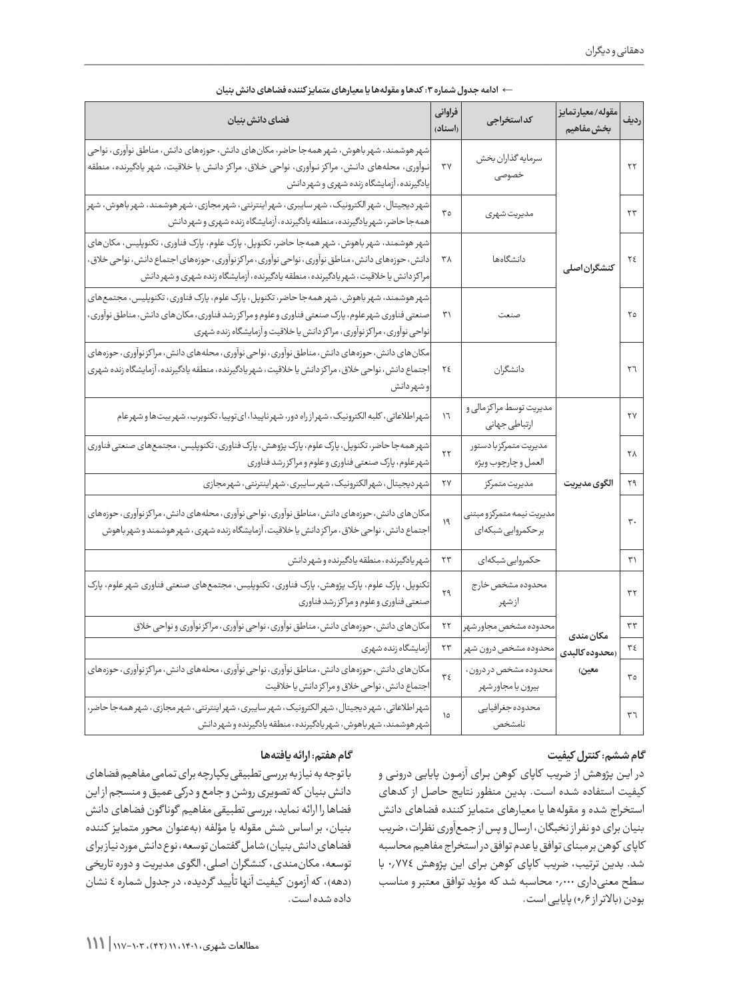| فضاي دانش بنيان                                                                                                                                                                                                                                                                         |                        | كداستخراجى                                         | مقوله/معيارتمايز<br>بخشءفاهيم | رديف                   |
|-----------------------------------------------------------------------------------------------------------------------------------------------------------------------------------------------------------------------------------------------------------------------------------------|------------------------|----------------------------------------------------|-------------------------------|------------------------|
| شهر هوشمند، شهر باهوش، شهر همهجا حاضر، مکان های دانش، حوزههای دانش، مناطق نوآوری، نواحی<br>نـوآوری، محلههای دانـش، مراکز نـوآوری، نواحی خـلاق، مراکز دانـش یا خلاقیت، شهر یادگیرنده، منطقه<br>یادگیرنده، آزمایشگاه زنده شهری و شهر دانش                                                 | ٣٧                     | سرمايه گذاران بخش<br>خصوصى                         |                               | $\mathbf{Y}\mathbf{Y}$ |
| شهر دیجیتال، شهر الکترونیک، شهر سایبری، شهر اینترنتی، شهر مجازی، شهر هوشمند، شهر باهوش، شهر<br>همهجا حاضر، شهر یادگیرنده، منطقه یادگیرنده، آزمایشگاه زنده شهری و شهر دانش                                                                                                               | ٣٥                     | مديريت شهرى                                        |                               | $\tau\tau$             |
| شهر هوشمند، شهر باهوش، شهر همهجا حاضر، تکنوپل، پارک علوم، پارک فناوری، تکنوپلیس، مکانهای<br>دانش ، حوزههای دانش ، مناطق نوآوری ، نواحی نوآوری ، مراکز نوآوری ، حوزههای اجتماع دانش ، نواحی خلاق ،<br>مراکز دانش یا خلاقیت، شهریادگیرنده، منطقه یادگیرنده، آزمایشگاه زنده شهری و شهردانش | ٣٨                     | دانشگاهها                                          | كنشگران اصلى                  |                        |
| شهر هوشمند، شهر باهوش، شهر همه جا حاضر، تکنوپل، پارک علوم، پارک فناوری، تکنوپلیس، مجتمعهای<br>صنعتی فناوری شهرعلوم، پارک صنعتی فناوری و علوم و مراکزرشد فناوری، مکان های دانش، مناطق نوآوری،<br>نواحی نوآوری، مراکز نوآوری، مراکزدانش یا خلاقیت و آزمایشگاه زنده شهری                   | ٣١                     | صنعت                                               |                               | ٢٥                     |
| مکان های دانش، حوزههای دانش، مناطق نوآوری، نواحی نوآوری، محلههای دانش، مراکز نوآوری، حوزههای<br>اجتماع دانش، نواحی خلاق، مراکز دانش یا خلاقیت، شهریادگیرنده، منطقه یادگیرنده، آزمایشگاه زنده شهری<br>و شهر دانش                                                                         | ٢٤                     | دانشگران                                           |                               | ٢٦                     |
| شهر اطلاعاتی، کلبه الکترونیک، شهر از راه دور، شهر ناپیدا، ای توپیا، تکنوبرب، شهر بیت ها و شهر عام                                                                                                                                                                                       | $\mathcal{N}$          | مدیریت توسط مراکز مالی و<br>ارتباطي جهاني          |                               | ٢٧                     |
| شهر همه جا حاضر، تکنوپل، پارک علوم، پارک پژوهش، پارک فناوری، تکنوپلیس، مجتمعهای صنعتی فناوری<br>شهرعلوم، پارک صنعتی فناوری و علوم و مراکزرشد فناوری                                                                                                                                     | $\mathbf{r}$           | مديريت متمركزبا دستور<br>العمل و چارچوب ويژه       |                               | ٢٨                     |
| شهردیجیتال، شهرالکترونیک، شهرسایبری، شهراینترنتی، شهر مجازی                                                                                                                                                                                                                             | ۲۷                     | مديريت متمركز                                      | الگوى مديريت                  | ۲۹                     |
| مکان های دانش، حوزههای دانش، مناطق نوآوری، نواحی نوآوری، محلههای دانش، مراکز نوآوری، حوزههای<br>اجتماع دانش، نواحی خلاق، مراکز دانش یا خلاقیت، آزمایشگاه زنده شهری، شهر هوشمند و شهر باهوش                                                                                              | ۱۹                     | مديريت نيمه متمركزو مبتنى<br>برحكمروايي شبكهاى     |                               | $\mathbf{r}$ .         |
| شهريادگيرنده، منطقه يادگيرنده و شهر دانش                                                                                                                                                                                                                                                | ۲۳                     | حکمروایی شبکهای                                    |                               | ۳۱                     |
| تکنوپل، پارک علوم، پارک پژوهش، پارک فناوری، تکنوپلیس، مجتمعهای صنعتی فناوری شهر علوم، پارک<br>صنعتى فناورى وعلوم ومراكزرشد فناورى                                                                                                                                                       | ۲۹                     | محدوده مشخص خارج<br>ازشهر                          |                               | $\tau\tau$             |
| مکان های دانش، حوزههای دانش، مناطق نوآوری، نواحی نوآوری، مراکز نوآوری و نواحی خلاق                                                                                                                                                                                                      | $\mathbf{Y}\mathbf{Y}$ | محدوده مشخص مجاورشهر                               | مكان مندى                     | $\tau\tau$             |
| آزمايشگاه زنده شهرى                                                                                                                                                                                                                                                                     | $\mathbf{y}$           | محدوده مشخص درون شهر                               | (محدوده كالبدى                | ٣٤                     |
| مکان های دانش، حوزههای دانش، مناطق نوآوری، نواحی نوآوری، محلههای دانش، مراکز نوآوری، حوزههای<br>اجتماع دانش، نواحی خلاق و مراکز دانش یا خلاقیت                                                                                                                                          | $\mathbf{y}\mathbf{z}$ | محدوده مشخص در درون،<br>معين)<br>بيرون يا مجاورشهر |                               | $\mathbf{r}\circ$      |
| شهر اطلاعاتی، شهر دیجیتال، شهر الکترونیک، شهر سایبری، شهر اینترنتی، شهر مجازی، شهر همه جا حاضر،<br>شهر هوشمند، شهر باهوش، شهر یادگیرنده، منطقه یادگیرنده و شهر دانش                                                                                                                     | $\Omega$               | محدوده جغرافيايي<br>نامشخص                         |                               | ٣٦                     |

| ← ادامه جدول شماره ۳: کدها و مقولهها یا معیارهای متمایز کننده فضاهای دانش بنیان |  |  |  |
|---------------------------------------------------------------------------------|--|--|--|
|---------------------------------------------------------------------------------|--|--|--|

#### **گام ششم: کنترل کیفیت**

در این پژوهش از ضریب کاپای کوهن برای آزمون پایایی درونی و کیفیت استفاده شـده اسـت. بدین منظور نتایج حاصل از کدهای استخراج شده و مقولهها یا معیارهای متمایز کننده فضاهای دانش بنیان برای دو نفر از نخبگان، ارسال و پس از جمعآوری نظرات، ضریب کاپای کوهن بر مبنای توافق یا عدم توافق در استخراج مفاهیم محاسبه شد. بدین ترتیب، ضریب کاپای کوهن بـرای این پژوهش 0.774 با سطح معنیداری 0.000 محاسبه شد که مؤید توافق معتبر و مناسب بودن (بالاتراز 0,۶) پایایی است.

## **گام هفتم: ارائه یافتهها**

با توجه به نیاز به بررسی تطبیقی یکپارچه برای تمامی مفاهیم فضاهای دانش بنیان که تصویری روشن و جامع و درکی عمیق و منسجم از این فضاها را ارائه نماید، بررسی تطبیقی مفاهیم گونا گون فضاهای دانش بنیان، بر اساس شش مقوله یا مؤلفه )بهعنوان محور متمایز کننده فضاهای دانش بنیان) شامل گفتمان توسعه، نوع دانش مورد نیاز برای توسعه، مکانمندی، کنشگران اصلی، الگوی مدیریت و دوره تاریخی (دهه)، که آزمون کیفیت آنها تأیید گردیده، در جدول شماره ٤ نشان داده شده است.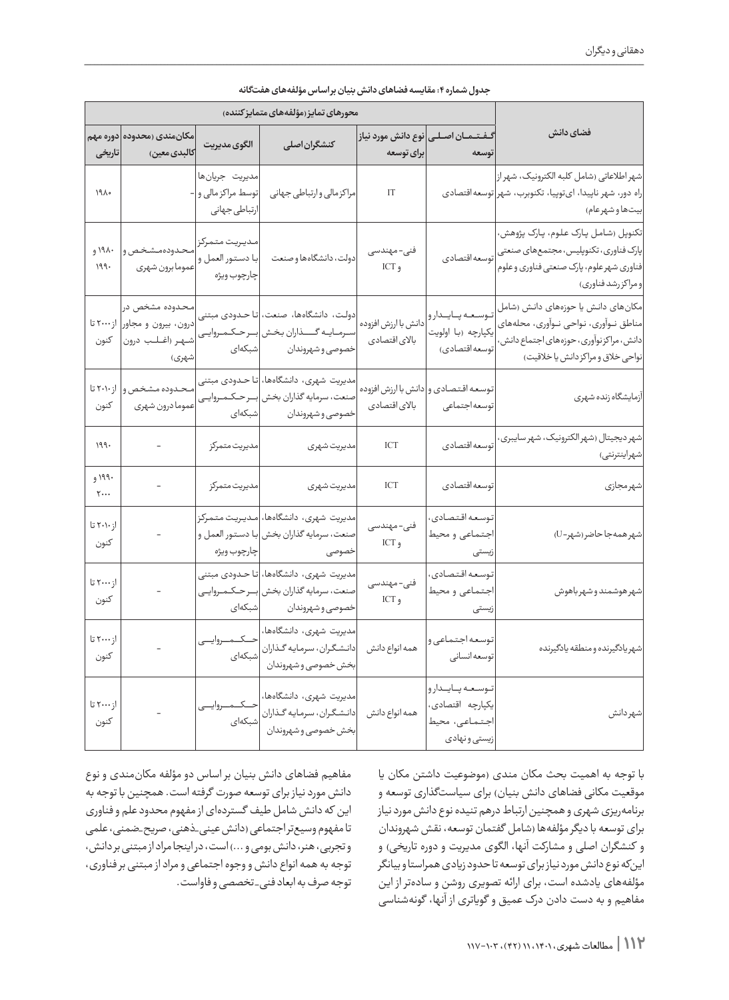|                                                                                                                                                                 | محورهای تمایز (مؤلفههای متمایز کننده)                              |                                      |                                                                                                                                           |                                                        |                                                                                        |                               |
|-----------------------------------------------------------------------------------------------------------------------------------------------------------------|--------------------------------------------------------------------|--------------------------------------|-------------------------------------------------------------------------------------------------------------------------------------------|--------------------------------------------------------|----------------------------------------------------------------------------------------|-------------------------------|
| فضاي دانش                                                                                                                                                       | گــفــتـــمــــان اصـــلـــى نوع دانـش مورد نيـاز<br>توسعه         | برای توسعه                           | كنشگران اصلى                                                                                                                              | الگوي مديريت                                           | مکانمندی (محدوده <mark>دوره مهم</mark><br>كالبدى معين)                                 | تاریخی                        |
| شهر اطلاعاتی (شامل کلبه الکترونیک، شهر از <br>راه دور، شهر ناپیدا، ایتوپیا، تکنوبرب، شهر توسعه قتصادی<br>بيتها و شهرعام)                                        |                                                                    | IT                                   | مراكز مالي وارتباطي جهاني                                                                                                                 | مديريت جريانها<br>توسط مراكز مالي و -<br>ارتباطي جهاني |                                                                                        | ١٩٨٥                          |
| تکنوپل (شامل پارک علوم، پارک پژوهش،<br>پارک فناوری، تکنوپلیس، مجتمعهای صنعتی<br>فناوري شهرعلوم، پارک صنعتي فناوري و علوم<br>و مراکزرشد فناوري)                  | توسعه اقتصادي                                                      | فنى- مهندسى<br>و ICT                 | دولت، دانشگاهها و صنعت                                                                                                                    | مديريت متمركز<br>با دستور العمل و<br>چارچوب ويژه       | محدودهمشخص و<br>عموما برون شهري                                                        | ۱۹۸۰ و<br>199.                |
| مکانهای دانش یا حوزههای دانش (شامل<br>مناطق نــوآوری، نـواحی نــوآوری، محلههای<br>دانش، مراکزنوآوری، حوزههای اجتماع دانش،<br>نواحی خلاق و مراکز دانش یا خلاقیت) | توسعه پايدارو<br>یکپارچه (با اولویت<br>توسعه اقتصادي)              | دانش با ارزش افزوده<br>بالاى اقتصادى | دولت، دانشگاهها، صنعت، <mark>تا حـدودی مبتنی</mark><br>سـرمــايــه گـــــــذاران بخـش  بـــرحــكــمــروايـــى<br>خصوصي وشهروندان وأشبكهاي |                                                        | محدوده مشخص در<br>درون، بیرون و مجاور  از۲۰۰۰ تا<br>شـهـر (اغــلـب درون  كنون<br>شهري) |                               |
| آزمايشگاه زنده شهري                                                                                                                                             | توسعه اقتصادى و دانش با ارزش افزوده<br>توسعه جتماعي                | بالاى اقتصادى                        | مدیریت شهری، دانشگاهها، <mark>تا حـدودی مبتنی</mark><br>صنعت، سرمايه گذاران بخش  بــرحـكـمـروايــى<br>خصوصي و شهروندان اشبكهاي            |                                                        | محدوده مشخص و<br>عموما درون شهري                                                       | از۲۰۱۰ تا<br>كنون             |
| شهر دیجیتال (شهرالکترونیک، شهر سایبری،<br>شهراينترنتي)                                                                                                          | توسعه قتصادي                                                       | <b>ICT</b>                           | مديريت شهرى                                                                                                                               | مديريت متمركز                                          |                                                                                        | ۱۹۹۰                          |
| شهرمجازي                                                                                                                                                        | توسعه قتصادى                                                       | ICT                                  | مديريت شهرى                                                                                                                               | مديريت متمركز                                          | $\qquad \qquad \blacksquare$                                                           | ۱۹۹۰ و<br>$\mathbf{y} \cdots$ |
| شهرهمهجاحاضر(شهر-U)                                                                                                                                             | توسعه اقتصادي،<br>اجتماعي ومحيط<br>زیستی                           | فنى- مهندسى<br>و ICT                 | مديريت شهرى، دانشگاهها، مـديـريـت متـمركز<br>صنعت، سرمايه گذاران بخش با دستور العمل و                                                     |                                                        |                                                                                        | از ۲۰۱۰ تا<br>كنون            |
| شهرهوشمند و شهر باهوش                                                                                                                                           | توسعه اقتصادي،<br>اجتماعي و محيط<br>زیستی                          | فنى- مهندسى<br>و ICT                 | مدیریت شهری، دانشگاهها، <mark>تا حـدودی مبتنی</mark><br>صنعت، سرمايه گذاران بخش  بــرحـكـمـروايــى<br>خصوصي و شهروندان اشبكهاي            |                                                        |                                                                                        | از ۲۰۰۰ تا<br>كنون            |
| شهريادگيرنده و منطقه يادگيرنده                                                                                                                                  | توسعه اجتماعي و<br>توسعه انسانى                                    |                                      | مدیریت شهری، دانشگاهها، ۱۰                                                                                                                |                                                        |                                                                                        | از ۲۰۰۰ تا<br>كنون            |
| شهردانش                                                                                                                                                         | توسعه بايدارو<br>یکپارچه اقتصادی،<br>اجتماعى، محيط<br>زيستي ونهادي |                                      | مدیریت شهری، دانشگاهها، صلحت میست بهایی استفادها،<br>همه انواع دانش میانشگران، سرمایه گـذاران صلحتهای<br>بخش خصوصی و شهروندان             |                                                        |                                                                                        | از ۲۰۰۰ تا<br>كنون            |

| جدول شماره ۴: مقايسه فضاهاي دانش بنيان براساس مؤلفههاي هفتگانه |  |
|----------------------------------------------------------------|--|
|----------------------------------------------------------------|--|

با توجه به اهمیت بحث مکان مندی )موضوعیت داشتن مکان یا موقعیت مکانی فضاهای دانش بنیان) برای سیاستگذاری توسعه و برنامهریزی شهری و همچنین ارتباط درهم تنیده نوع دانش مورد نیاز برای توسعه با دیگر مؤلفهها (شامل گفتمان توسعه، نقش شهروندان و کنشگران اصلی و مشارکت آنها، الگوی مدیریت و دوره تاریخی( و اینکه نوع دانش مورد نیاز برای توسعه تا حدود زیادی همراستا و بیانگر مؤلفههای یادشده است، برای ارائه تصویری روشن و سادهتر از این مفاهیم و به دست دادن درک عمیق و گویاتری از آنها، گونهشناسی

مفاهیم فضاهای دانش بنیان بر اساس دو مؤلفه مکانمندی و نوع دانش مورد نیاز برای توسعه صورت گرفته است. همچنین با توجه به این که دانش شامل طیف گستردهای از مفهوم محدود علم و فناوری تا مفهوم وسیعتر اجتماعی )دانش عینی\_ذهنی، صریح\_ضمنی، علمی و تجربی، هنر، دانش بومی و ...( است، در اینجا مراد از مبتنی بر دانش، توجه به همه انواع دانش و وجوه اجتماعی و مراد از مبتنی بر فناوری، توجه صرف به ابعاد فنی\_ تخصصی و فاواست.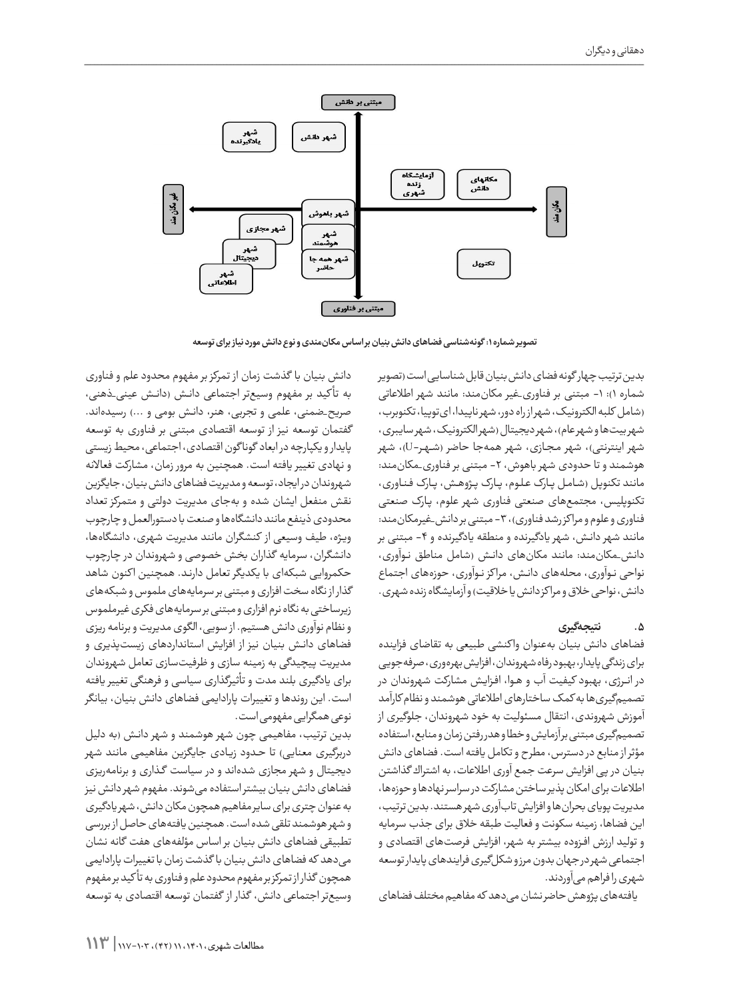

**تصویر شماره :1 گونهشناسی فضاهای دانش بنیان بر اساس مکانمندی و نوع دانش مورد نیاز برای توسعه**

بدین ترتیب چهار گونه فضای دانش بنیان قابل شناسایی است )تصویر شماره ۱): ۱- مبتنی بر فناوری\_غیر مکانمند: مانند شهر اطلاعاتی )شامل کلبه الکترونیک، شهر از راه دور، شهر ناپیدا، ایتوپیا،تکنوبرب، شهر بیتها و شهر عام)، شهر دیجیتال (شهر الکترونیک، شهر سایبری، شهر اینترنتی)، شهر مجـازی، شهر همهجا حاضر (شـهـر-U)، شهر هوشمند و تا حدودی شهر باهوش، -2 مبتنی بر فناوری\_مکانمند: مانند تکنوپل )شـامـل پــارک عـلـوم، پــارک پـژوهـش، پــارک فـنـاوری، تکنوپلیس، مجتمعهای صنعتی فناوری شهر علوم، پـارک صنعتی فناوری و علوم و مرا کز رشد فناوری(، -3 مبتنی بر دانش\_غیرمکانمند: مانند شهر دانـش، شهر یادگیرنده و منطقه یادگیرنده و ۴- مبتنی بر دانش\_مکانمند: مانند مکانهای دانـش )شامل مناطق نـوآوری، نواحی نـوآوری، محلههای دانـش، مرا کز نـوآوری، حوزههای اجتماع دانش، نواحی خلاق و مراکز دانش یا خلاقیت) و آزمایشگاه زنده شهری.

# **.5 نتیجهگیری**

فضاهای دانش بنیان بهعنوان وا کنشی طبیعی به تقاضای فزاینده برای زندگی پایدار، بهبودرفاهشهروندان،افزایشبهرهوری،صرفهجویی در انــرژی، بهبود کیفیت آب و هـوا، افـزایـش مشارکت شهروندان در تصمیمگیری ها به کمک ساختارهای اطلاعاتی هوشمند و نظام کارآمد آموزش شهروندی، انتقال مسئولیت به خود شهروندان، جلوگیری از تصمیمگیری مبتنی برآزمایش وخطا و هدررفتن زمان و منابع، استفاده مؤثرازمنابع در دسترس، مطرح و تکامل یافته است. فضاهای دانش بنیان در پی افزایش سرعت جمع آوری اطالعات، به اشتراك گذاشتن اطلاعات برای امکان پذیر ساختن مشارکت در سراسر نهادها و حوزهها، مدیریت پویای بحران ها و افزایش تابآوری شهر هستند. بدین ترتیب، این فضاها، زمینه سکونت و فعالیت طبقه خالق برای جذب سرمایه و تولید ارزش افـزوده بیشتر به شهر، افزایش فرصتهای اقتصادی و اجتماعی شهر درجهان بدون مرزو شکل گیری فرایندهای پایدار توسعه شهری را فراهم میآوردند.

یافتههای پژوهش حاضر نشان می دهد که مفاهیم مختلف فضاهای

دانش بنیان با گذشت زمان از تمرکز بر مفهوم محدود علم و فناوری به تأکید بر مفهوم وسیعتر اجتماعی دانـش (دانـش عینی\_ذهنی، صریح\_ضمنی، علمی و تجربی، هنر، دانش بومی و ...) رسیدهاند. گفتمان توسعه نیز از توسعه اقتصادی مبتنی بر فناوری به توسعه پایدار و یکپارچه در ابعاد گونا گون اقتصادی، اجتماعی، محیط زیستی و نهادی تغییر یافته است. همچنین به مرور زمان، مشارکت فعاالنه شهروندان در ایجاد، توسعه و مدیریت فضاهای دانش بنیان، جایگزین نقش منفعل ایشان شده و بهجای مدیریت دولتی و متمرکز تعداد محدودی ذینفع مانند دانشگاهها و صنعت با دستورالعمل و چارچوب ویـژه، طیف وسیعی از کنشگران مانند مدیریت شهری، دانشگاهها، دانشگران، سرمایه گذاران بخش خصوصی و شهروندان در چارچوب حکمروایی شبکهای با یکدیگر تعامل دارنـد. همچنین ا کنون شاهد گذار از نگاه سخت افزاری و مبتنی بر سرمایههای ملموس و شبکههای زیرساختی به نگاه نرم افزاری و مبتنی بر سرمایههای فکری غیرملموس و نظام نوآوری دانش هستیم. از سویی، الگوی مدیریت و برنامه ریزی فضاهای دانـش بنیان نیز از افزایش استانداردهای زیستپذیری و مدیریت پیچیدگی به زمینه سازی و ظرفیتسازی تعامل شهروندان برای یادگیری بلند مدت و تأثیرگذاری سیاسی و فرهنگی تغییر یافته است. این روندها و تغییرات پارادایمی فضاهای دانش بنیان، بیانگر نوعی همگرایی مفهومی است.

بدین ترتیب، مفاهیمی چون شهر هوشمند و شهر دانـش )به دلیل دربرگیری معنایی) تا حـدود زیـادی جایگزین مفاهیمی مانند شهر دیجیتال و شهر مجازی شدهاند و در سیاست گـذاری و برنامهریزی فضاهای دانش بنیان بیشتر استفاده میشوند. مفهوم شهر دانش نیز به عنوان چتری برای سایر مفاهیم همچون مکان دانش، شهر یادگیری و شهر هوشمند تلقی شده است. همچنین یافتههای حاصل از بررسی تطبیقی فضاهای دانش بنیان بر اساس مؤلفههای هفت گانه نشان میدهد که فضاهای دانش بنیان با گذشت زمان با تغییرات پارادایمی همچون گذار از تمرکز بر مفهوم محدود علم و فناوری به تأ کید بر مفهوم وسیعتر اجتماعی دانش، گذار از گفتمان توسعه اقتصادی به توسعه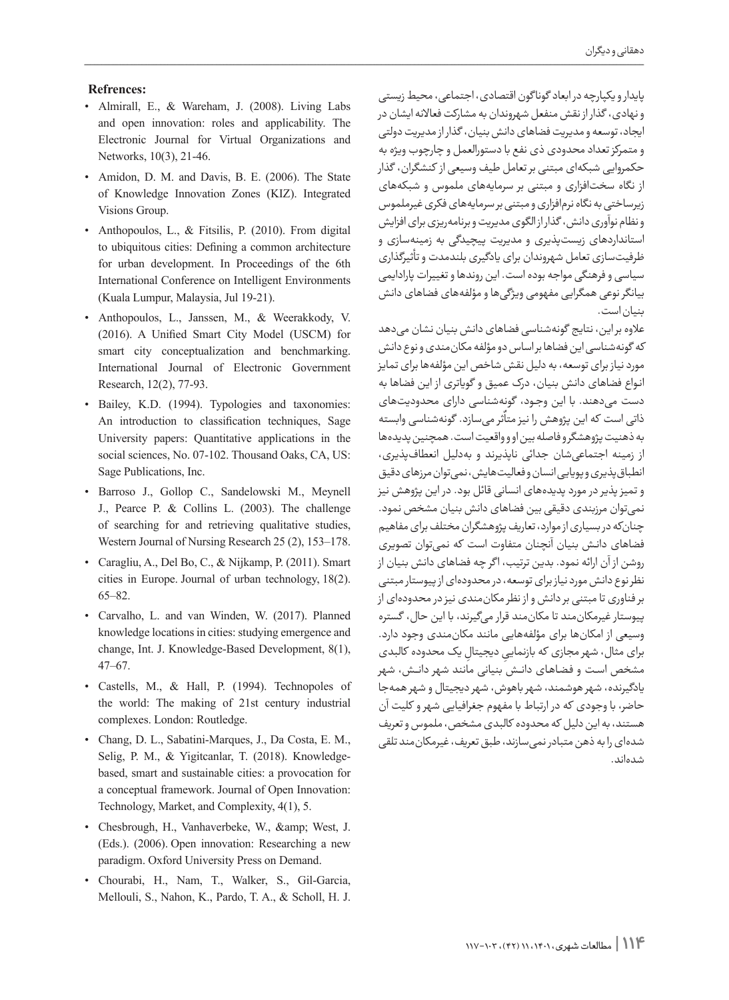#### **:Refrences**

- Almirall, E., & Wareham, J. (2008). Living Labs and open innovation: roles and applicability. The Electronic Journal for Virtual Organizations and Networks, 10(3), 21-46.
- Amidon, D. M. and Davis, B. E. (2006). The State of Knowledge Innovation Zones (KIZ). Integrated Visions Group.
- Anthopoulos, L., & Fitsilis, P.  $(2010)$ . From digital to ubiquitous cities: Defining a common architecture for urban development. In Proceedings of the 6th International Conference on Intelligent Environments (Kuala Lumpur, Malaysia, Jul 19-21).
- Anthopoulos, L., Janssen, M., & Weerakkody, V. (2016). A Unified Smart City Model (USCM) for smart city conceptualization and benchmarking. International Journal of Electronic Government Research, 12(2), 77-93.
- · Bailey, K.D. (1994). Typologies and taxonomies: An introduction to classification techniques, Sage University papers: Quantitative applications in the social sciences, No. 07-102. Thousand Oaks, CA, US: Sage Publications, Inc.
- · Barroso J., Gollop C., Sandelowski M., Meynell J., Pearce P. & Collins L.  $(2003)$ . The challenge of searching for and retrieving qualitative studies, Western Journal of Nursing Research 25 (2), 153-178.
- Caragliu, A., Del Bo, C., & Nijkamp, P. (2011). Smart cities in Europe. Journal of urban technology,  $18(2)$ .  $65 - 82.$
- Carvalho, L. and van Winden, W. (2017). Planned knowledge locations in cities: studying emergence and change, Int. J. Knowledge-Based Development, 8(1),  $47 - 67$ .
- Castells, M., & Hall, P. (1994). Technopoles of the world: The making of 21st century industrial complexes. London: Routledge.
- Chang, D. L., Sabatini-Marques, J., Da Costa, E. M., Selig, P. M., & Yigitcanlar, T. (2018). Knowledge-based, smart and sustainable cities: a provocation for a conceptual framework. Journal of Open Innovation: Technology, Market, and Complexity, 4(1), 5.
- Chesbrough, H., Vanhaverbeke, W., & West, J.  $(Eds.)$ .  $(2006)$ . Open innovation: Researching a new paradigm. Oxford University Press on Demand.
- Chourabi, H., Nam, T., Walker, S., Gil-Garcia, Mellouli, S., Nahon, K., Pardo, T. A., & Scholl, H. J.

پایدار و یکپارچه در ابعاد گونا گون اقتصادی، اجتماعی، محیط زیستی و نهادی، گذار از نقش منفعل شهروندان به مشارکت فعاالنه ایشان در ایجاد، توسعه و مدیریت فضاهای دانش بنیان، گذار از مدیریت دولتی و متمرکز تعداد محدودی ذی نفع با دستورالعمل و چارچوب ویژه به حکمروایی شبکهای مبتنی بر تعامل طیف وسیعی از کنشگران، گذار از نگاه سختافزاری و مبتنی بر سرمایههای ملموس و شبکههای زیرساختی به نگاه نرمافزاری و مبتنی بر سرمایههای فکری غیرملموس و نظام نوآوری دانش، گذار از الگوی مدیریت و برنامهریزی برای افزایش استانداردهای زیستپذیری و مدیریت پیچیدگی به زمینهسازی و ظرفیتسازی تعامل شهروندان برای یادگیری بلندمدت و تأثیرگذاری سیاسی و فرهنگی مواجه بوده است. این روندها و تغییرات پارادایمی بیانگر نوعی همگرایی مفهومی ویژگیها و مؤلفههای فضاهای دانش بنیان است.

عالوه بر این، نتایج گونهشناسی فضاهای دانش بنیان نشان میدهد که گونهشناسی این فضاها بر اساس دو مؤلفه مکانمندی و نوع دانش مورد نیاز برای توسعه، به دلیل نقش شاخص این مؤلفهها برای تمایز انـواع فضاهای دانش بنیان، درک عمیق و گویاتری از این فضاها به دست میدهند. با این وجـود، گونهشناسی دارای محدودیتهای ٍ<br>ا ذاتی است که این پژوهش را نیز متاثر میسازد. گونهشناسی وابسته به ذهنیت پژوهشگر و فاصله بین او و واقعیت است. همچنین پدیدهها از زمینه اجتماعیشان جدائی ناپذیرند و بهدلیل انعطافپذیری، انطباق پذیری و پویایی انسان و فعالیت هایش، نمی توان مرزهای دقیق و تمیز پذیر در مورد پدیدههای انسانی قائل بود. در این پژوهش نیز نمیتوان مرزبندی دقیقی بین فضاهای دانش بنیان مشخص نمود. چنانکه در بسیاری از موارد، تعاریف پژوهشگران مختلف برای مفاهیم فضاهای دانـش بنیان آنچنان متفاوت است که نمیتوان تصویری روشن از آن ارائه نمود. بدین ترتیب، ا گر چه فضاهای دانش بنیان از نظر نوع دانش مورد نیاز برای توسعه، در محدودهای از پیوستار مبتنی بر فناوری تا مبتنی بر دانش و از نظر مکانمندی نیز در محدودهای از پیوستار غیرمکانمند تا مکانمند قرار میگیرند، با این حال، گستره وسیعی از امکانها برای مؤلفههایی مانند مکانمندی وجود دارد. برای مثال، شهر مجازی که بازنماییِ دیجیتالِ یک محدوده کالبدی مشخص اســت و فـضـاهـای دانــش بنیانی مانند شهر دانـــش، شهر یادگیرنده، شهر هوشمند، شهر باهوش، شهر دیجیتال و شهر همهجا حاضر، با وجودی که در ارتباط با مفهوم جغرافیایی شهر و کلیت آن هستند، به این دلیل که محدوده کالبدی مشخص، ملموس و تعریف شدهای را به ذهن متبادر نمیسازند، طبق تعریف، غیرمکانمند تلقی شدهاند.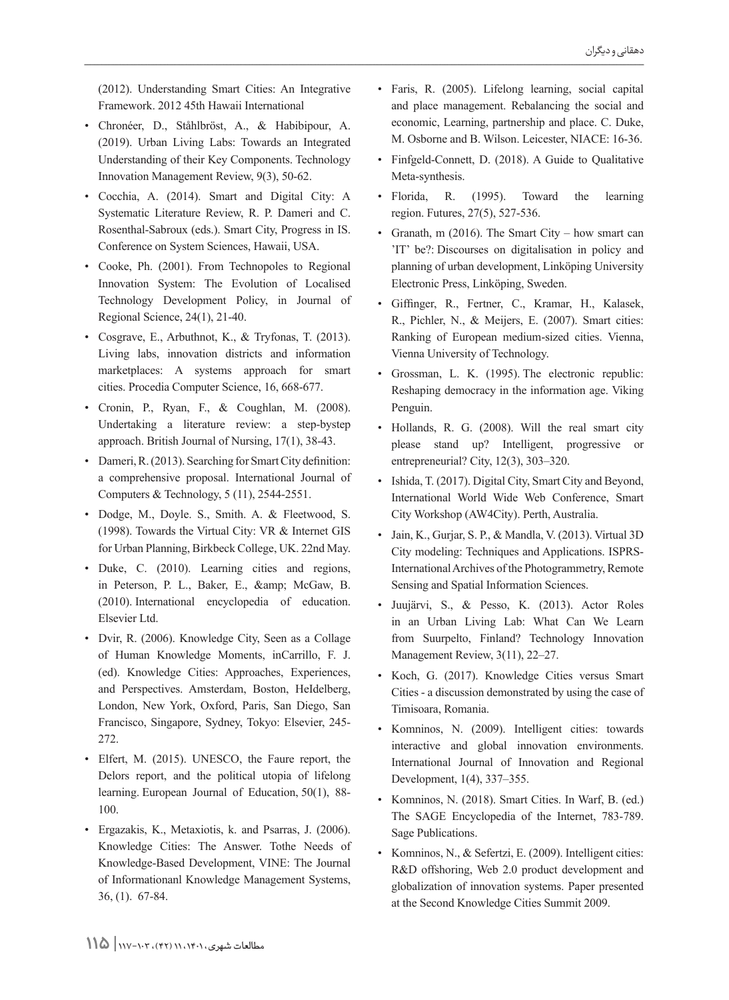(2012). Understanding Smart Cities: An Integrative Framework. 2012 45th Hawaii International

- · Chronéer, D., Ståhlbröst, A., & Habibipour, A.  $(2019)$ . Urban Living Labs: Towards an Integrated Understanding of their Key Components. Technology Innovation Management Review, 9(3), 50-62.
- Cocchia, A. (2014). Smart and Digital City: A Systematic Literature Review, R. P. Dameri and C. Rosenthal-Sabroux (eds.). Smart City, Progress in IS. Conference on System Sciences, Hawaii, USA.
- Cooke, Ph. (2001). From Technopoles to Regional Innovation System: The Evolution of Localised Technology Development Policy, in Journal of Regional Science,  $24(1)$ ,  $21-40$ .
- Cosgrave, E., Arbuthnot, K., & Tryfonas, T.  $(2013)$ . Living labs, innovation districts and information marketplaces: A systems approach for smart cities. Procedia Computer Science, 16, 668-677.
- Cronin, P., Ryan, F., & Coughlan, M. (2008). Undertaking a literature review: a step-bystep approach. British Journal of Nursing,  $17(1)$ ,  $38-43$ .
- Dameri, R. (2013). Searching for Smart City definition: a comprehensive proposal. International Journal of Computers & Technology,  $5(11)$ ,  $2544-2551$ .
- · Dodge, M., Doyle. S., Smith. A. & Fleetwood, S. (1998). Towards the Virtual City: VR  $&$  Internet GIS for Urban Planning, Birkbeck College, UK. 22nd May.
- Duke, C. (2010). Learning cities and regions, in Peterson, P. L., Baker, E., & McGaw, B.  $(2010)$ . International encyclopedia of education. Elsevier Ltd.
- Dvir, R. (2006). Knowledge City, Seen as a Collage of Human Knowledge Moments, inCarrillo, F. J. (ed). Knowledge Cities: Approaches, Experiences, and Perspectives. Amsterdam, Boston, HeIdelberg, London, New York, Oxford, Paris, San Diego, San Francisco, Singapore, Sydney, Tokyo: Elsevier, 245-272.
- Elfert, M. (2015). UNESCO, the Faure report, the Delors report, and the political utopia of lifelong learning. European Journal of Education,  $50(1)$ , 88-100.
- Ergazakis, K., Metaxiotis, k. and Psarras, J. (2006). Knowledge Cities: The Answer. Tothe Needs of Knowledge-Based Development, VINE: The Journal of Informationanl Knowledge Management Systems,  $36, (1)$ .  $67-84$ .
- Faris, R. (2005). Lifelong learning, social capital and place management. Rebalancing the social and economic, Learning, partnership and place. C. Duke, M. Osborne and B. Wilson. Leicester, NIACE: 16-36.
- Finfgeld-Connett, D. (2018). A Guide to Qualitative Meta-synthesis.
- Florida, R. (1995). Toward the learning region. Futures, 27(5), 527-536.
- Granath, m  $(2016)$ . The Smart City how smart can IT' be?: Discourses on digitalisation in policy and planning of urban development, Linköping University Electronic Press, Linköping, Sweden.
- Giffinger, R., Fertner, C., Kramar, H., Kalasek, R., Pichler, N., & Meijers, E. (2007). Smart cities: Ranking of European medium-sized cities. Vienna, Vienna University of Technology.
- Grossman, L. K. (1995). The electronic republic: Reshaping democracy in the information age. Viking Penguin.
- Hollands, R. G. (2008). Will the real smart city please stand up? Intelligent, progressive or entrepreneurial? City,  $12(3)$ ,  $303-320$ .
- Ishida, T. (2017). Digital City, Smart City and Beyond, International World Wide Web Conference, Smart City Workshop (AW4City). Perth, Australia.
- Jain, K., Gurjar, S. P., & Mandla, V. (2013). Virtual 3D International Archives of the Photogrammetry, Remote City modeling: Techniques and Applications. ISPRS-Sensing and Spatial Information Sciences.
- Juujärvi, S., & Pesso, K. (2013). Actor Roles in an Urban Living Lab: What Can We Learn from Suurpelto, Finland? Technology Innovation Management Review, 3(11), 22–27.
- Koch, G. (2017). Knowledge Cities versus Smart Cities - a discussion demonstrated by using the case of Timisoara, Romania.
- Komninos, N. (2009). Intelligent cities: towards interactive and global innovation environments. International Journal of Innovation and Regional Development, 1(4), 337–355.
- Komninos, N. (2018). Smart Cities. In Warf, B. (ed.) The SAGE Encyclopedia of the Internet, 783-789. Sage Publications.
- Komninos, N., & Sefertzi, E. (2009). Intelligent cities: R&D offshoring, Web 2.0 product development and globalization of innovation systems. Paper presented at the Second Knowledge Cities Summit 2009.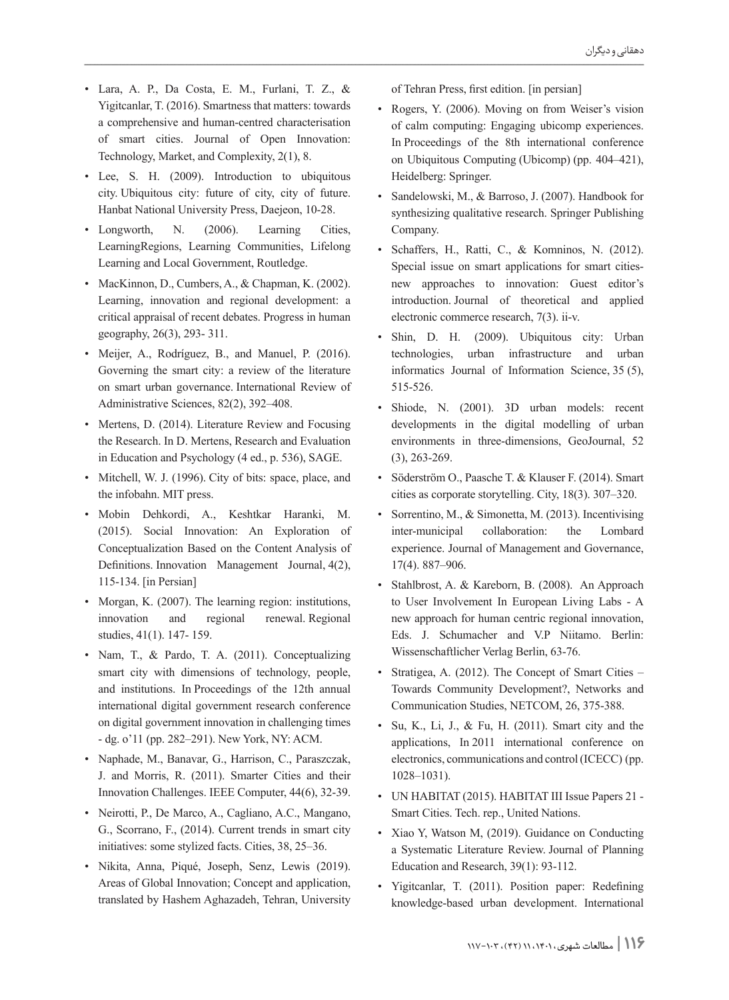- $\bullet$  Lara, A. P., Da Costa, E. M., Furlani, T. Z., & Yigitcanlar, T. (2016). Smartness that matters: towards a comprehensive and human-centred characterisation of smart cities. Journal of Open Innovation: Technology, Market, and Complexity, 2(1), 8.
- Ubiquitous Lee, S. H. (2009). Introduction to ubiquitous city. Ubiquitous city: future of city, city of future. Hanbat National University Press, Daejeon, 10-28.
- Longworth, N. (2006). Learning Cities, LearningRegions, Learning Communities, Lifelong Learning and Local Government, Routledge.
- MacKinnon, D., Cumbers, A., & Chapman, K.  $(2002)$ . Learning, innovation and regional development: a critical appraisal of recent debates. Progress in human geography, 26(3), 293- 311.
- Meijer, A., Rodríguez, B., and Manuel, P. (2016). Governing the smart city: a review of the literature on smart urban governance. International Review of Administrative Sciences, 82(2), 392-408.
- Mertens, D. (2014). Literature Review and Focusing the Research. In D. Mertens, Research and Evaluation in Education and Psychology (4 ed., p. 536), SAGE.
- Mitchell, W. J. (1996). City of bits: space, place, and the infobahn. MIT press.
- · Mobin Dehkordi, A., Keshtkar Haranki, M. (2015). Social Innovation: An Exploration of Conceptualization Based on the Content Analysis of Definitions. Innovation . Management Journal,  $4(2)$ , 115-134. [in Persian]
- Morgan, K. (2007). The learning region: institutions, innovation and regional renewal Regional studies, 41(1). 147- 159.
- Nam, T.,  $\&$  Pardo, T. A. (2011). Conceptualizing smart city with dimensions of technology, people, and institutions. In Proceedings of the 12th annual international digital government research conference on digital government innovation in challenging times - dg. o'11 (pp. 282–291). New York, NY: ACM.
- Naphade, M., Banavar, G., Harrison, C., Paraszczak, J. and Morris, R. (2011). Smarter Cities and their Innovation Challenges. IEEE Computer, 44(6), 32-39.
- Neirotti, P., De Marco, A., Cagliano, A.C., Mangano, G., Scorrano, F., (2014). Current trends in smart city initiatives: some stylized facts. Cities, 38, 25–36.
- · Nikita, Anna, Piqué, Joseph, Senz, Lewis (2019). Areas of Global Innovation; Concept and application, translated by Hashem Aghazadeh, Tehran, University

of Tehran Press, first edition. [in persian]

- Rogers, Y. (2006). Moving on from Weiser's vision of calm computing: Engaging ubicomp experiences. In Proceedings of the 8th international conference on Ubiquitous Computing (Ubicomp) (pp.  $404-421$ ), Heidelberg: Springer.
- Sandelowski, M., & Barroso, J. (2007). Handbook for synthesizing qualitative research. Springer Publishing .Company
- Schaffers, H., Ratti, C., & Komninos, N. (2012). new approaches to innovation: Guest editor's Special issue on smart applications for smart citiesintroduction. Journal of theoretical and applied electronic commerce research, 7(3). ii-v.
- Shin, D. H. (2009). Ubiquitous city: Urban technologies, urban infrastructure and urban informatics Journal of Information Science,  $35(5)$ , 515-526.
- · Shiode, N. (2001). 3D urban models: recent developments in the digital modelling of urban environments in three-dimensions, GeoJournal, 52  $(3), 263-269.$
- Söderström O., Paasche T. & Klauser F. (2014). Smart cities as corporate storytelling. City,  $18(3)$ .  $307-320$ .
- Sorrentino, M., & Simonetta, M. (2013). Incentivising inter-municipal collaboration: the Lombard experience. Journal of Management and Governance, 17(4). 887 - 906.
- Stahlbrost, A. & Kareborn, B. (2008). An Approach to User Involvement In European Living Labs - A new approach for human centric regional innovation, Eds. J. Schumacher and V.P Niitamo. Berlin: Wissenschaftlicher Verlag Berlin, 63-76.
- Stratigea, A. (2012). The Concept of Smart Cities Towards Community Development?, Networks and Communication Studies, NETCOM, 26, 375-388.
- Su, K., Li, J., & Fu, H.  $(2011)$ . Smart city and the applications, In 2011 international conference on electronics, communications and control (ICECC) (pp.  $1028 - 1031$ ).
- UN HABITAT (2015). HABITAT III Issue Papers 21 -Smart Cities. Tech. rep., United Nations.
- Xiao Y, Watson M, (2019). Guidance on Conducting a Systematic Literature Review. Journal of Planning Education and Research,  $39(1)$ :  $93-112$ .
- Yigitcanlar, T. (2011). Position paper: Redefining knowledge-based urban development. International